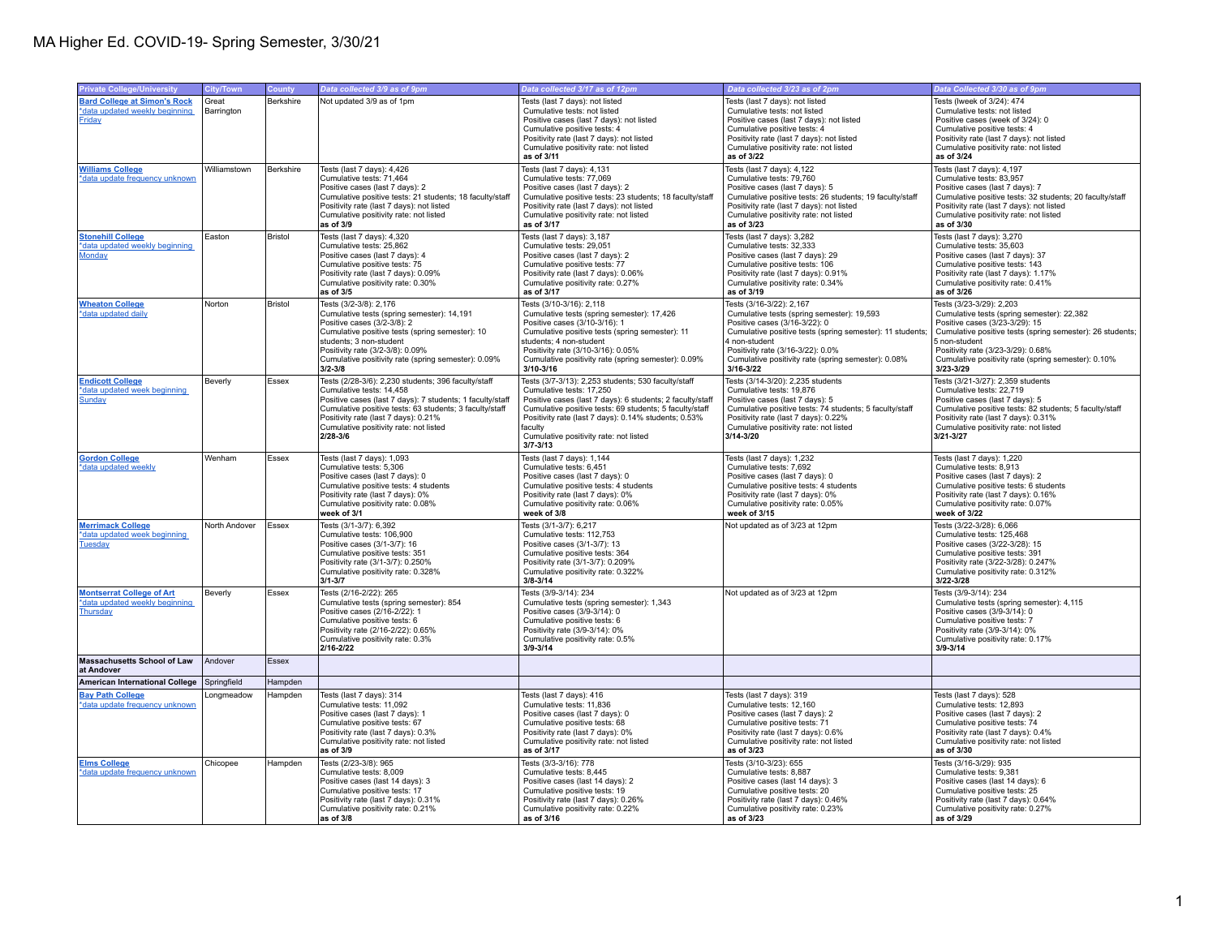| <b>Bard College at Simon's Rock</b><br>Tests (Iweek of 3/24): 474<br>Berkshire<br>Not updated 3/9 as of 1pm<br>Tests (last 7 days): not listed<br>Tests (last 7 days): not listed<br>Great<br>*data updated weekly beginning<br>Barrington<br>Cumulative tests: not listed<br>Cumulative tests: not listed<br>Cumulative tests: not listed<br>Positive cases (last 7 days): not listed<br>Positive cases (last 7 days): not listed<br>Positive cases (week of 3/24): 0<br><b>Friday</b><br>Cumulative positive tests: 4<br>Cumulative positive tests: 4<br>Cumulative positive tests: 4<br>Positivity rate (last 7 days): not listed<br>Positivity rate (last 7 days): not listed<br>Positivity rate (last 7 days): not listed<br>Cumulative positivity rate: not listed<br>Cumulative positivity rate: not listed<br>Cumulative positivity rate: not listed<br>as of 3/22<br>as of 3/24<br>as of 3/11<br>Williamstown<br>Tests (last 7 days): 4,426<br>Tests (last 7 days): 4,131<br>Tests (last 7 days): 4,122<br>Tests (last 7 days): 4,197<br>Berkshire<br>Cumulative tests: 79.760<br>*data update frequency unknown<br>Cumulative tests: 71.464<br>Cumulative tests: 77,069<br>Cumulative tests: 83,957<br>Positive cases (last 7 days): 2<br>Positive cases (last 7 days): 2<br>Positive cases (last 7 days): 5<br>Positive cases (last 7 days): 7<br>Cumulative positive tests: 26 students; 19 faculty/staff<br>Cumulative positive tests: 32 students; 20 faculty/staff<br>Cumulative positive tests: 21 students; 18 faculty/staff<br>Cumulative positive tests: 23 students; 18 faculty/staff<br>Positivity rate (last 7 days): not listed<br>Positivity rate (last 7 days): not listed<br>Positivity rate (last 7 days): not listed<br>Positivity rate (last 7 days): not listed<br>Cumulative positivity rate: not listed<br>Cumulative positivity rate: not listed<br>Cumulative positivity rate: not listed<br>Cumulative positivity rate: not listed<br>as of 3/17<br>as of 3/23<br>as of 3/30<br>as of 3/9<br><b>Stonehill College</b><br>Tests (last 7 days): 4,320<br>Tests (last 7 days): 3,282<br>Tests (last 7 days): 3,270<br>Easton<br><b>Bristol</b><br>Tests (last 7 days): 3,187<br>*data updated weekly beginning<br>Cumulative tests: 25,862<br>Cumulative tests: 29,051<br>Cumulative tests: 32,333<br>Cumulative tests: 35,603<br>Positive cases (last 7 days): 4<br>Positive cases (last 7 days): 2<br>Positive cases (last 7 days): 29<br>Positive cases (last 7 days): 37<br>Monday<br>Cumulative positive tests: 75<br>Cumulative positive tests: 106<br>Cumulative positive tests: 143<br>Cumulative positive tests: 77<br>Positivity rate (last 7 days): 0.09%<br>Positivity rate (last 7 days): 0.06%<br>Positivity rate (last 7 days): 0.91%<br>Positivity rate (last 7 days): 1.17%<br>Cumulative positivity rate: 0.30%<br>Cumulative positivity rate: 0.27%<br>Cumulative positivity rate: 0.34%<br>Cumulative positivity rate: 0.41%<br>as of 3/5<br>as of 3/19<br>as of 3/26<br>as of 3/17<br>Bristol<br>Tests (3/2-3/8): 2,176<br>Tests (3/10-3/16): 2,118<br>Tests (3/16-3/22): 2,167<br>Tests (3/23-3/29): 2,203<br><b>Wheaton College</b><br>Norton<br>Cumulative tests (spring semester): 14,191<br>Cumulative tests (spring semester): 17,426<br>Cumulative tests (spring semester): 19,593<br>Cumulative tests (spring semester): 22,382<br>*data updated daily<br>Positive cases (3/2-3/8): 2<br>Positive cases (3/10-3/16): 1<br>Positive cases (3/16-3/22): 0<br>Positive cases (3/23-3/29): 15<br>Cumulative positive tests (spring semester): 10<br>Cumulative positive tests (spring semester): 11<br>Cumulative positive tests (spring semester): 11 students;<br>Cumulative positive tests (spring semester): 26 students;<br>students; 3 non-student<br>students; 4 non-student<br>4 non-student<br>5 non-student<br>Positivity rate (3/2-3/8): 0.09%<br>Positivity rate (3/10-3/16): 0.05%<br>Positivity rate (3/16-3/22): 0.0%<br>Positivity rate (3/23-3/29): 0.68%<br>Cumulative positivity rate (spring semester): 0.09%<br>Cumulative positivity rate (spring semester): 0.09%<br>Cumulative positivity rate (spring semester): 0.08%<br>Cumulative positivity rate (spring semester): 0.10%<br>$3/16 - 3/22$<br>$3/2 - 3/8$<br>3/10-3/16<br>3/23-3/29<br>Tests (2/28-3/6): 2,230 students; 396 faculty/staff<br>Tests (3/7-3/13): 2,253 students; 530 faculty/staff<br>Tests (3/14-3/20): 2,235 students<br>Tests (3/21-3/27): 2,359 students<br><b>Endicott College</b><br>Essex<br>Beverly<br>*data updated week beginning<br>Cumulative tests: 14.458<br>Cumulative tests: 17.250<br>Cumulative tests: 19,876<br>Cumulative tests: 22.719<br>Positive cases (last 7 days): 7 students; 1 faculty/staff<br>Positive cases (last 7 days): 6 students; 2 faculty/staff<br>Positive cases (last 7 days): 5<br>Positive cases (last 7 days): 5<br><b>Sunday</b><br>Cumulative positive tests: 69 students; 5 faculty/staff<br>Cumulative positive tests: 74 students; 5 faculty/staff<br>Cumulative positive tests: 82 students; 5 faculty/staff<br>Cumulative positive tests: 63 students; 3 faculty/staff<br>Positivity rate (last 7 days): 0.21%<br>Positivity rate (last 7 days): 0.14% students; 0.53%<br>Positivity rate (last 7 days): 0.22%<br>Positivity rate (last 7 days): 0.31%<br>Cumulative positivity rate: not listed<br>Cumulative positivity rate: not listed<br>Cumulative positivity rate: not listed<br>faculty<br>3/21-3/27<br>$2/28 - 3/6$<br>Cumulative positivity rate: not listed<br>$3/14 - 3/20$<br>$3/7 - 3/13$<br>Wenham<br>Tests (last 7 days): 1,093<br>Tests (last 7 days): 1,144<br>Tests (last 7 days): 1,232<br>Tests (last 7 days): 1,220<br>Essex<br>Cumulative tests: 5.306<br>*data updated weekly<br>Cumulative tests: 6.451<br>Cumulative tests: 7.692<br>Cumulative tests: 8.913<br>Positive cases (last 7 days): 0<br>Positive cases (last 7 days): 0<br>Positive cases (last 7 days): 0<br>Positive cases (last 7 days): 2<br>Cumulative positive tests: 4 students<br>Cumulative positive tests: 4 students<br>Cumulative positive tests: 4 students<br>Cumulative positive tests: 6 students<br>Positivity rate (last 7 days): 0.16%<br>Positivity rate (last 7 days): 0%<br>Positivity rate (last 7 days): 0%<br>Positivity rate (last 7 days): 0%<br>Cumulative positivity rate: 0.08%<br>Cumulative positivity rate: 0.06%<br>Cumulative positivity rate: 0.05%<br>Cumulative positivity rate: 0.07%<br>week of 3/1<br>week of 3/15<br>week of 3/22<br>week of 3/8<br>Tests (3/22-3/28): 6,066<br><b>Merrimack College</b><br>North Andover<br>Essex<br>Tests (3/1-3/7): 6,392<br>Tests (3/1-3/7): 6,217<br>Not updated as of 3/23 at 12pm<br>Cumulative tests: 106.900<br>*data updated week beginning<br>Cumulative tests: 112.753<br>Cumulative tests: 125.468<br>Positive cases (3/1-3/7): 16<br>Positive cases (3/1-3/7): 13<br>Positive cases (3/22-3/28): 15<br><b>Tuesday</b><br>Cumulative positive tests: 351<br>Cumulative positive tests: 364<br>Cumulative positive tests: 391<br>Positivity rate (3/1-3/7): 0.250%<br>Positivity rate (3/1-3/7): 0.209%<br>Positivity rate (3/22-3/28): 0.247%<br>Cumulative positivity rate: 0.328%<br>Cumulative positivity rate: 0.322%<br>Cumulative positivity rate: 0.312%<br>$3/1 - 3/7$<br>$3/8 - 3/14$<br>3/22-3/28<br>Tests (3/9-3/14): 234<br>Tests (2/16-2/22): 265<br>Tests (3/9-3/14): 234<br>Not updated as of 3/23 at 12pm<br><b>Montserrat College of Art</b><br>Beverly<br>Essex<br>Cumulative tests (spring semester): 854<br>Cumulative tests (spring semester): 1,343<br>Cumulative tests (spring semester): 4,115<br>Positive cases (2/16-2/22): 1<br>Positive cases (3/9-3/14): 0<br>Positive cases (3/9-3/14): 0<br>Cumulative positive tests: 6<br>Cumulative positive tests: 6<br>Cumulative positive tests: 7<br>Positivity rate (2/16-2/22): 0.65%<br>Positivity rate (3/9-3/14): 0%<br>Positivity rate (3/9-3/14): 0%<br>Cumulative positivity rate: 0.3%<br>Cumulative positivity rate: 0.5%<br>Cumulative positivity rate: 0.17%<br>2/16-2/22<br>$3/9 - 3/14$<br>$3/9 - 3/14$<br>Essex<br>Andover<br>American International College Springfield<br>Hampden<br><b>Bay Path College</b><br>Tests (last 7 days): 314<br>Tests (last 7 days): 416<br>Tests (last 7 days): 319<br>Tests (last 7 days): 528<br>.ongmeadow<br>Hampden<br>Cumulative tests: 11,092<br>Cumulative tests: 11,836<br>Cumulative tests: 12.893<br>*data update frequency unknown<br>Cumulative tests: 12.160<br>Positive cases (last 7 days): 1<br>Positive cases (last 7 days): 0<br>Positive cases (last 7 days): 2<br>Positive cases (last 7 days): 2<br>Cumulative positive tests: 67<br>Cumulative positive tests: 68<br>Cumulative positive tests: 71<br>Cumulative positive tests: 74<br>Positivity rate (last 7 days): 0.3%<br>Positivity rate (last 7 days): 0.6%<br>Positivity rate (last 7 days): 0.4%<br>Positivity rate (last 7 days): 0%<br>Cumulative positivity rate: not listed<br>Cumulative positivity rate: not listed<br>Cumulative positivity rate: not listed<br>Cumulative positivity rate: not listed<br>as of 3/9<br>as of 3/17<br>as of 3/23<br>as of 3/30<br>Tests (2/23-3/8): 965<br>Tests (3/10-3/23): 655<br>Tests (3/16-3/29): 935<br>Tests (3/3-3/16): 778<br>Chicopee<br>Hampden<br>Cumulative tests: 8,009<br>Cumulative tests: 8,445<br>Cumulative tests: 8,887<br>Cumulative tests: 9,381<br>*data update frequency unknown<br>Positive cases (last 14 days): 2<br>Positive cases (last 14 days): 6<br>Positive cases (last 14 days): 3<br>Positive cases (last 14 days): 3<br>Cumulative positive tests: 17<br>Cumulative positive tests: 19<br>Cumulative positive tests: 20<br>Cumulative positive tests: 25<br>Positivity rate (last 7 days): 0.31%<br>Positivity rate (last 7 days): 0.26%<br>Positivity rate (last 7 days): 0.46%<br>Positivity rate (last 7 days): 0.64% |                                    |           |        |                              |                                |                               |                               |
|-------------------------------------------------------------------------------------------------------------------------------------------------------------------------------------------------------------------------------------------------------------------------------------------------------------------------------------------------------------------------------------------------------------------------------------------------------------------------------------------------------------------------------------------------------------------------------------------------------------------------------------------------------------------------------------------------------------------------------------------------------------------------------------------------------------------------------------------------------------------------------------------------------------------------------------------------------------------------------------------------------------------------------------------------------------------------------------------------------------------------------------------------------------------------------------------------------------------------------------------------------------------------------------------------------------------------------------------------------------------------------------------------------------------------------------------------------------------------------------------------------------------------------------------------------------------------------------------------------------------------------------------------------------------------------------------------------------------------------------------------------------------------------------------------------------------------------------------------------------------------------------------------------------------------------------------------------------------------------------------------------------------------------------------------------------------------------------------------------------------------------------------------------------------------------------------------------------------------------------------------------------------------------------------------------------------------------------------------------------------------------------------------------------------------------------------------------------------------------------------------------------------------------------------------------------------------------------------------------------------------------------------------------------------------------------------------------------------------------------------------------------------------------------------------------------------------------------------------------------------------------------------------------------------------------------------------------------------------------------------------------------------------------------------------------------------------------------------------------------------------------------------------------------------------------------------------------------------------------------------------------------------------------------------------------------------------------------------------------------------------------------------------------------------------------------------------------------------------------------------------------------------------------------------------------------------------------------------------------------------------------------------------------------------------------------------------------------------------------------------------------------------------------------------------------------------------------------------------------------------------------------------------------------------------------------------------------------------------------------------------------------------------------------------------------------------------------------------------------------------------------------------------------------------------------------------------------------------------------------------------------------------------------------------------------------------------------------------------------------------------------------------------------------------------------------------------------------------------------------------------------------------------------------------------------------------------------------------------------------------------------------------------------------------------------------------------------------------------------------------------------------------------------------------------------------------------------------------------------------------------------------------------------------------------------------------------------------------------------------------------------------------------------------------------------------------------------------------------------------------------------------------------------------------------------------------------------------------------------------------------------------------------------------------------------------------------------------------------------------------------------------------------------------------------------------------------------------------------------------------------------------------------------------------------------------------------------------------------------------------------------------------------------------------------------------------------------------------------------------------------------------------------------------------------------------------------------------------------------------------------------------------------------------------------------------------------------------------------------------------------------------------------------------------------------------------------------------------------------------------------------------------------------------------------------------------------------------------------------------------------------------------------------------------------------------------------------------------------------------------------------------------------------------------------------------------------------------------------------------------------------------------------------------------------------------------------------------------------------------------------------------------------------------------------------------------------------------------------------------------------------------------------------------------------------------------------------------------------------------------------------------------------------------------------------------------------------------------------------------------------------------------------------------------------------------------------------------------------------------------------------------------------------------------------------------------------------------------------------------------------------------------------------------------------------------------------------------------------------------------------------------------------------------------------------------------------------------------------------------------------------------------------------------------------------------------------------------------------------------------------------------------------------------------------------------------------------------------------------------------------------------------------------------------------------------------------------------------------------------------------------------------------------------------------------------------------------------------------------------------------------------------------------------------------------------------------------------------------------------------------------------------------------------------------------------------------------------------------------------------------------------------------------------------------------------------------------------------------------------------------------------------------------------------------------------------------------------------------------------------------------------------------------------------------------------------------------------------------------------------------------------------------------------------------------------------------------------------------------------------------------------------------------------------------------------------------------------------------------------------------------------------------------------------------------------------------------------------------------------------------------------------------------------------------------------------------------------------------------------------------------------------------------------------------------------------------------------------------------------------------------------------------------------------------------------------------------------------------------------------------------------------------------------------------------------------------------------------------------------------------------------------------------------------------------------------------------------------------------------------------------------------------------------------------------------------------------------------------------------------------------------------------------------------------------------------------------------------------------------------------------------------------------------------------------------------------------------------------------------------|------------------------------------|-----------|--------|------------------------------|--------------------------------|-------------------------------|-------------------------------|
|                                                                                                                                                                                                                                                                                                                                                                                                                                                                                                                                                                                                                                                                                                                                                                                                                                                                                                                                                                                                                                                                                                                                                                                                                                                                                                                                                                                                                                                                                                                                                                                                                                                                                                                                                                                                                                                                                                                                                                                                                                                                                                                                                                                                                                                                                                                                                                                                                                                                                                                                                                                                                                                                                                                                                                                                                                                                                                                                                                                                                                                                                                                                                                                                                                                                                                                                                                                                                                                                                                                                                                                                                                                                                                                                                                                                                                                                                                                                                                                                                                                                                                                                                                                                                                                                                                                                                                                                                                                                                                                                                                                                                                                                                                                                                                                                                                                                                                                                                                                                                                                                                                                                                                                                                                                                                                                                                                                                                                                                                                                                                                                                                                                                                                                                                                                                                                                                                                                                                                                                                                                                                                                                                                                                                                                                                                                                                                                                                                                                                                                                                                                                                                                                                                                                                                                                                                                                                                                                                                                                                                                                                                                                                                                                                                                                                                                                                                                                                                                                                                                                                                                                                                                                                                                                                                                                                                                                                                                                                                                                                                                                                                                                                                                                                                                                                                                                                                                                                                                                                                                                                                                                                                                                                                                                                                                                                                                                                                                                                                                                                                                                                                                                                                                                                                                                                                                                                                                                                                                                                                                                                                                                                                                                                                                                                                                                                                                                                                                                                                                           | <b>Private College/University</b>  | City/Town | County | Data collected 3/9 as of 9pm | Data collected 3/17 as of 12pm | Data collected 3/23 as of 2pm | Data Collected 3/30 as of 9pm |
|                                                                                                                                                                                                                                                                                                                                                                                                                                                                                                                                                                                                                                                                                                                                                                                                                                                                                                                                                                                                                                                                                                                                                                                                                                                                                                                                                                                                                                                                                                                                                                                                                                                                                                                                                                                                                                                                                                                                                                                                                                                                                                                                                                                                                                                                                                                                                                                                                                                                                                                                                                                                                                                                                                                                                                                                                                                                                                                                                                                                                                                                                                                                                                                                                                                                                                                                                                                                                                                                                                                                                                                                                                                                                                                                                                                                                                                                                                                                                                                                                                                                                                                                                                                                                                                                                                                                                                                                                                                                                                                                                                                                                                                                                                                                                                                                                                                                                                                                                                                                                                                                                                                                                                                                                                                                                                                                                                                                                                                                                                                                                                                                                                                                                                                                                                                                                                                                                                                                                                                                                                                                                                                                                                                                                                                                                                                                                                                                                                                                                                                                                                                                                                                                                                                                                                                                                                                                                                                                                                                                                                                                                                                                                                                                                                                                                                                                                                                                                                                                                                                                                                                                                                                                                                                                                                                                                                                                                                                                                                                                                                                                                                                                                                                                                                                                                                                                                                                                                                                                                                                                                                                                                                                                                                                                                                                                                                                                                                                                                                                                                                                                                                                                                                                                                                                                                                                                                                                                                                                                                                                                                                                                                                                                                                                                                                                                                                                                                                                                                                                           |                                    |           |        |                              |                                |                               |                               |
|                                                                                                                                                                                                                                                                                                                                                                                                                                                                                                                                                                                                                                                                                                                                                                                                                                                                                                                                                                                                                                                                                                                                                                                                                                                                                                                                                                                                                                                                                                                                                                                                                                                                                                                                                                                                                                                                                                                                                                                                                                                                                                                                                                                                                                                                                                                                                                                                                                                                                                                                                                                                                                                                                                                                                                                                                                                                                                                                                                                                                                                                                                                                                                                                                                                                                                                                                                                                                                                                                                                                                                                                                                                                                                                                                                                                                                                                                                                                                                                                                                                                                                                                                                                                                                                                                                                                                                                                                                                                                                                                                                                                                                                                                                                                                                                                                                                                                                                                                                                                                                                                                                                                                                                                                                                                                                                                                                                                                                                                                                                                                                                                                                                                                                                                                                                                                                                                                                                                                                                                                                                                                                                                                                                                                                                                                                                                                                                                                                                                                                                                                                                                                                                                                                                                                                                                                                                                                                                                                                                                                                                                                                                                                                                                                                                                                                                                                                                                                                                                                                                                                                                                                                                                                                                                                                                                                                                                                                                                                                                                                                                                                                                                                                                                                                                                                                                                                                                                                                                                                                                                                                                                                                                                                                                                                                                                                                                                                                                                                                                                                                                                                                                                                                                                                                                                                                                                                                                                                                                                                                                                                                                                                                                                                                                                                                                                                                                                                                                                                                                           |                                    |           |        |                              |                                |                               |                               |
|                                                                                                                                                                                                                                                                                                                                                                                                                                                                                                                                                                                                                                                                                                                                                                                                                                                                                                                                                                                                                                                                                                                                                                                                                                                                                                                                                                                                                                                                                                                                                                                                                                                                                                                                                                                                                                                                                                                                                                                                                                                                                                                                                                                                                                                                                                                                                                                                                                                                                                                                                                                                                                                                                                                                                                                                                                                                                                                                                                                                                                                                                                                                                                                                                                                                                                                                                                                                                                                                                                                                                                                                                                                                                                                                                                                                                                                                                                                                                                                                                                                                                                                                                                                                                                                                                                                                                                                                                                                                                                                                                                                                                                                                                                                                                                                                                                                                                                                                                                                                                                                                                                                                                                                                                                                                                                                                                                                                                                                                                                                                                                                                                                                                                                                                                                                                                                                                                                                                                                                                                                                                                                                                                                                                                                                                                                                                                                                                                                                                                                                                                                                                                                                                                                                                                                                                                                                                                                                                                                                                                                                                                                                                                                                                                                                                                                                                                                                                                                                                                                                                                                                                                                                                                                                                                                                                                                                                                                                                                                                                                                                                                                                                                                                                                                                                                                                                                                                                                                                                                                                                                                                                                                                                                                                                                                                                                                                                                                                                                                                                                                                                                                                                                                                                                                                                                                                                                                                                                                                                                                                                                                                                                                                                                                                                                                                                                                                                                                                                                                                           |                                    |           |        |                              |                                |                               |                               |
|                                                                                                                                                                                                                                                                                                                                                                                                                                                                                                                                                                                                                                                                                                                                                                                                                                                                                                                                                                                                                                                                                                                                                                                                                                                                                                                                                                                                                                                                                                                                                                                                                                                                                                                                                                                                                                                                                                                                                                                                                                                                                                                                                                                                                                                                                                                                                                                                                                                                                                                                                                                                                                                                                                                                                                                                                                                                                                                                                                                                                                                                                                                                                                                                                                                                                                                                                                                                                                                                                                                                                                                                                                                                                                                                                                                                                                                                                                                                                                                                                                                                                                                                                                                                                                                                                                                                                                                                                                                                                                                                                                                                                                                                                                                                                                                                                                                                                                                                                                                                                                                                                                                                                                                                                                                                                                                                                                                                                                                                                                                                                                                                                                                                                                                                                                                                                                                                                                                                                                                                                                                                                                                                                                                                                                                                                                                                                                                                                                                                                                                                                                                                                                                                                                                                                                                                                                                                                                                                                                                                                                                                                                                                                                                                                                                                                                                                                                                                                                                                                                                                                                                                                                                                                                                                                                                                                                                                                                                                                                                                                                                                                                                                                                                                                                                                                                                                                                                                                                                                                                                                                                                                                                                                                                                                                                                                                                                                                                                                                                                                                                                                                                                                                                                                                                                                                                                                                                                                                                                                                                                                                                                                                                                                                                                                                                                                                                                                                                                                                                                           |                                    |           |        |                              |                                |                               |                               |
|                                                                                                                                                                                                                                                                                                                                                                                                                                                                                                                                                                                                                                                                                                                                                                                                                                                                                                                                                                                                                                                                                                                                                                                                                                                                                                                                                                                                                                                                                                                                                                                                                                                                                                                                                                                                                                                                                                                                                                                                                                                                                                                                                                                                                                                                                                                                                                                                                                                                                                                                                                                                                                                                                                                                                                                                                                                                                                                                                                                                                                                                                                                                                                                                                                                                                                                                                                                                                                                                                                                                                                                                                                                                                                                                                                                                                                                                                                                                                                                                                                                                                                                                                                                                                                                                                                                                                                                                                                                                                                                                                                                                                                                                                                                                                                                                                                                                                                                                                                                                                                                                                                                                                                                                                                                                                                                                                                                                                                                                                                                                                                                                                                                                                                                                                                                                                                                                                                                                                                                                                                                                                                                                                                                                                                                                                                                                                                                                                                                                                                                                                                                                                                                                                                                                                                                                                                                                                                                                                                                                                                                                                                                                                                                                                                                                                                                                                                                                                                                                                                                                                                                                                                                                                                                                                                                                                                                                                                                                                                                                                                                                                                                                                                                                                                                                                                                                                                                                                                                                                                                                                                                                                                                                                                                                                                                                                                                                                                                                                                                                                                                                                                                                                                                                                                                                                                                                                                                                                                                                                                                                                                                                                                                                                                                                                                                                                                                                                                                                                                                           |                                    |           |        |                              |                                |                               |                               |
|                                                                                                                                                                                                                                                                                                                                                                                                                                                                                                                                                                                                                                                                                                                                                                                                                                                                                                                                                                                                                                                                                                                                                                                                                                                                                                                                                                                                                                                                                                                                                                                                                                                                                                                                                                                                                                                                                                                                                                                                                                                                                                                                                                                                                                                                                                                                                                                                                                                                                                                                                                                                                                                                                                                                                                                                                                                                                                                                                                                                                                                                                                                                                                                                                                                                                                                                                                                                                                                                                                                                                                                                                                                                                                                                                                                                                                                                                                                                                                                                                                                                                                                                                                                                                                                                                                                                                                                                                                                                                                                                                                                                                                                                                                                                                                                                                                                                                                                                                                                                                                                                                                                                                                                                                                                                                                                                                                                                                                                                                                                                                                                                                                                                                                                                                                                                                                                                                                                                                                                                                                                                                                                                                                                                                                                                                                                                                                                                                                                                                                                                                                                                                                                                                                                                                                                                                                                                                                                                                                                                                                                                                                                                                                                                                                                                                                                                                                                                                                                                                                                                                                                                                                                                                                                                                                                                                                                                                                                                                                                                                                                                                                                                                                                                                                                                                                                                                                                                                                                                                                                                                                                                                                                                                                                                                                                                                                                                                                                                                                                                                                                                                                                                                                                                                                                                                                                                                                                                                                                                                                                                                                                                                                                                                                                                                                                                                                                                                                                                                                                           |                                    |           |        |                              |                                |                               |                               |
|                                                                                                                                                                                                                                                                                                                                                                                                                                                                                                                                                                                                                                                                                                                                                                                                                                                                                                                                                                                                                                                                                                                                                                                                                                                                                                                                                                                                                                                                                                                                                                                                                                                                                                                                                                                                                                                                                                                                                                                                                                                                                                                                                                                                                                                                                                                                                                                                                                                                                                                                                                                                                                                                                                                                                                                                                                                                                                                                                                                                                                                                                                                                                                                                                                                                                                                                                                                                                                                                                                                                                                                                                                                                                                                                                                                                                                                                                                                                                                                                                                                                                                                                                                                                                                                                                                                                                                                                                                                                                                                                                                                                                                                                                                                                                                                                                                                                                                                                                                                                                                                                                                                                                                                                                                                                                                                                                                                                                                                                                                                                                                                                                                                                                                                                                                                                                                                                                                                                                                                                                                                                                                                                                                                                                                                                                                                                                                                                                                                                                                                                                                                                                                                                                                                                                                                                                                                                                                                                                                                                                                                                                                                                                                                                                                                                                                                                                                                                                                                                                                                                                                                                                                                                                                                                                                                                                                                                                                                                                                                                                                                                                                                                                                                                                                                                                                                                                                                                                                                                                                                                                                                                                                                                                                                                                                                                                                                                                                                                                                                                                                                                                                                                                                                                                                                                                                                                                                                                                                                                                                                                                                                                                                                                                                                                                                                                                                                                                                                                                                                           | <b>Williams College</b>            |           |        |                              |                                |                               |                               |
|                                                                                                                                                                                                                                                                                                                                                                                                                                                                                                                                                                                                                                                                                                                                                                                                                                                                                                                                                                                                                                                                                                                                                                                                                                                                                                                                                                                                                                                                                                                                                                                                                                                                                                                                                                                                                                                                                                                                                                                                                                                                                                                                                                                                                                                                                                                                                                                                                                                                                                                                                                                                                                                                                                                                                                                                                                                                                                                                                                                                                                                                                                                                                                                                                                                                                                                                                                                                                                                                                                                                                                                                                                                                                                                                                                                                                                                                                                                                                                                                                                                                                                                                                                                                                                                                                                                                                                                                                                                                                                                                                                                                                                                                                                                                                                                                                                                                                                                                                                                                                                                                                                                                                                                                                                                                                                                                                                                                                                                                                                                                                                                                                                                                                                                                                                                                                                                                                                                                                                                                                                                                                                                                                                                                                                                                                                                                                                                                                                                                                                                                                                                                                                                                                                                                                                                                                                                                                                                                                                                                                                                                                                                                                                                                                                                                                                                                                                                                                                                                                                                                                                                                                                                                                                                                                                                                                                                                                                                                                                                                                                                                                                                                                                                                                                                                                                                                                                                                                                                                                                                                                                                                                                                                                                                                                                                                                                                                                                                                                                                                                                                                                                                                                                                                                                                                                                                                                                                                                                                                                                                                                                                                                                                                                                                                                                                                                                                                                                                                                                                           |                                    |           |        |                              |                                |                               |                               |
|                                                                                                                                                                                                                                                                                                                                                                                                                                                                                                                                                                                                                                                                                                                                                                                                                                                                                                                                                                                                                                                                                                                                                                                                                                                                                                                                                                                                                                                                                                                                                                                                                                                                                                                                                                                                                                                                                                                                                                                                                                                                                                                                                                                                                                                                                                                                                                                                                                                                                                                                                                                                                                                                                                                                                                                                                                                                                                                                                                                                                                                                                                                                                                                                                                                                                                                                                                                                                                                                                                                                                                                                                                                                                                                                                                                                                                                                                                                                                                                                                                                                                                                                                                                                                                                                                                                                                                                                                                                                                                                                                                                                                                                                                                                                                                                                                                                                                                                                                                                                                                                                                                                                                                                                                                                                                                                                                                                                                                                                                                                                                                                                                                                                                                                                                                                                                                                                                                                                                                                                                                                                                                                                                                                                                                                                                                                                                                                                                                                                                                                                                                                                                                                                                                                                                                                                                                                                                                                                                                                                                                                                                                                                                                                                                                                                                                                                                                                                                                                                                                                                                                                                                                                                                                                                                                                                                                                                                                                                                                                                                                                                                                                                                                                                                                                                                                                                                                                                                                                                                                                                                                                                                                                                                                                                                                                                                                                                                                                                                                                                                                                                                                                                                                                                                                                                                                                                                                                                                                                                                                                                                                                                                                                                                                                                                                                                                                                                                                                                                                                           |                                    |           |        |                              |                                |                               |                               |
|                                                                                                                                                                                                                                                                                                                                                                                                                                                                                                                                                                                                                                                                                                                                                                                                                                                                                                                                                                                                                                                                                                                                                                                                                                                                                                                                                                                                                                                                                                                                                                                                                                                                                                                                                                                                                                                                                                                                                                                                                                                                                                                                                                                                                                                                                                                                                                                                                                                                                                                                                                                                                                                                                                                                                                                                                                                                                                                                                                                                                                                                                                                                                                                                                                                                                                                                                                                                                                                                                                                                                                                                                                                                                                                                                                                                                                                                                                                                                                                                                                                                                                                                                                                                                                                                                                                                                                                                                                                                                                                                                                                                                                                                                                                                                                                                                                                                                                                                                                                                                                                                                                                                                                                                                                                                                                                                                                                                                                                                                                                                                                                                                                                                                                                                                                                                                                                                                                                                                                                                                                                                                                                                                                                                                                                                                                                                                                                                                                                                                                                                                                                                                                                                                                                                                                                                                                                                                                                                                                                                                                                                                                                                                                                                                                                                                                                                                                                                                                                                                                                                                                                                                                                                                                                                                                                                                                                                                                                                                                                                                                                                                                                                                                                                                                                                                                                                                                                                                                                                                                                                                                                                                                                                                                                                                                                                                                                                                                                                                                                                                                                                                                                                                                                                                                                                                                                                                                                                                                                                                                                                                                                                                                                                                                                                                                                                                                                                                                                                                                                           |                                    |           |        |                              |                                |                               |                               |
|                                                                                                                                                                                                                                                                                                                                                                                                                                                                                                                                                                                                                                                                                                                                                                                                                                                                                                                                                                                                                                                                                                                                                                                                                                                                                                                                                                                                                                                                                                                                                                                                                                                                                                                                                                                                                                                                                                                                                                                                                                                                                                                                                                                                                                                                                                                                                                                                                                                                                                                                                                                                                                                                                                                                                                                                                                                                                                                                                                                                                                                                                                                                                                                                                                                                                                                                                                                                                                                                                                                                                                                                                                                                                                                                                                                                                                                                                                                                                                                                                                                                                                                                                                                                                                                                                                                                                                                                                                                                                                                                                                                                                                                                                                                                                                                                                                                                                                                                                                                                                                                                                                                                                                                                                                                                                                                                                                                                                                                                                                                                                                                                                                                                                                                                                                                                                                                                                                                                                                                                                                                                                                                                                                                                                                                                                                                                                                                                                                                                                                                                                                                                                                                                                                                                                                                                                                                                                                                                                                                                                                                                                                                                                                                                                                                                                                                                                                                                                                                                                                                                                                                                                                                                                                                                                                                                                                                                                                                                                                                                                                                                                                                                                                                                                                                                                                                                                                                                                                                                                                                                                                                                                                                                                                                                                                                                                                                                                                                                                                                                                                                                                                                                                                                                                                                                                                                                                                                                                                                                                                                                                                                                                                                                                                                                                                                                                                                                                                                                                                                           |                                    |           |        |                              |                                |                               |                               |
|                                                                                                                                                                                                                                                                                                                                                                                                                                                                                                                                                                                                                                                                                                                                                                                                                                                                                                                                                                                                                                                                                                                                                                                                                                                                                                                                                                                                                                                                                                                                                                                                                                                                                                                                                                                                                                                                                                                                                                                                                                                                                                                                                                                                                                                                                                                                                                                                                                                                                                                                                                                                                                                                                                                                                                                                                                                                                                                                                                                                                                                                                                                                                                                                                                                                                                                                                                                                                                                                                                                                                                                                                                                                                                                                                                                                                                                                                                                                                                                                                                                                                                                                                                                                                                                                                                                                                                                                                                                                                                                                                                                                                                                                                                                                                                                                                                                                                                                                                                                                                                                                                                                                                                                                                                                                                                                                                                                                                                                                                                                                                                                                                                                                                                                                                                                                                                                                                                                                                                                                                                                                                                                                                                                                                                                                                                                                                                                                                                                                                                                                                                                                                                                                                                                                                                                                                                                                                                                                                                                                                                                                                                                                                                                                                                                                                                                                                                                                                                                                                                                                                                                                                                                                                                                                                                                                                                                                                                                                                                                                                                                                                                                                                                                                                                                                                                                                                                                                                                                                                                                                                                                                                                                                                                                                                                                                                                                                                                                                                                                                                                                                                                                                                                                                                                                                                                                                                                                                                                                                                                                                                                                                                                                                                                                                                                                                                                                                                                                                                                                           |                                    |           |        |                              |                                |                               |                               |
|                                                                                                                                                                                                                                                                                                                                                                                                                                                                                                                                                                                                                                                                                                                                                                                                                                                                                                                                                                                                                                                                                                                                                                                                                                                                                                                                                                                                                                                                                                                                                                                                                                                                                                                                                                                                                                                                                                                                                                                                                                                                                                                                                                                                                                                                                                                                                                                                                                                                                                                                                                                                                                                                                                                                                                                                                                                                                                                                                                                                                                                                                                                                                                                                                                                                                                                                                                                                                                                                                                                                                                                                                                                                                                                                                                                                                                                                                                                                                                                                                                                                                                                                                                                                                                                                                                                                                                                                                                                                                                                                                                                                                                                                                                                                                                                                                                                                                                                                                                                                                                                                                                                                                                                                                                                                                                                                                                                                                                                                                                                                                                                                                                                                                                                                                                                                                                                                                                                                                                                                                                                                                                                                                                                                                                                                                                                                                                                                                                                                                                                                                                                                                                                                                                                                                                                                                                                                                                                                                                                                                                                                                                                                                                                                                                                                                                                                                                                                                                                                                                                                                                                                                                                                                                                                                                                                                                                                                                                                                                                                                                                                                                                                                                                                                                                                                                                                                                                                                                                                                                                                                                                                                                                                                                                                                                                                                                                                                                                                                                                                                                                                                                                                                                                                                                                                                                                                                                                                                                                                                                                                                                                                                                                                                                                                                                                                                                                                                                                                                                                           |                                    |           |        |                              |                                |                               |                               |
|                                                                                                                                                                                                                                                                                                                                                                                                                                                                                                                                                                                                                                                                                                                                                                                                                                                                                                                                                                                                                                                                                                                                                                                                                                                                                                                                                                                                                                                                                                                                                                                                                                                                                                                                                                                                                                                                                                                                                                                                                                                                                                                                                                                                                                                                                                                                                                                                                                                                                                                                                                                                                                                                                                                                                                                                                                                                                                                                                                                                                                                                                                                                                                                                                                                                                                                                                                                                                                                                                                                                                                                                                                                                                                                                                                                                                                                                                                                                                                                                                                                                                                                                                                                                                                                                                                                                                                                                                                                                                                                                                                                                                                                                                                                                                                                                                                                                                                                                                                                                                                                                                                                                                                                                                                                                                                                                                                                                                                                                                                                                                                                                                                                                                                                                                                                                                                                                                                                                                                                                                                                                                                                                                                                                                                                                                                                                                                                                                                                                                                                                                                                                                                                                                                                                                                                                                                                                                                                                                                                                                                                                                                                                                                                                                                                                                                                                                                                                                                                                                                                                                                                                                                                                                                                                                                                                                                                                                                                                                                                                                                                                                                                                                                                                                                                                                                                                                                                                                                                                                                                                                                                                                                                                                                                                                                                                                                                                                                                                                                                                                                                                                                                                                                                                                                                                                                                                                                                                                                                                                                                                                                                                                                                                                                                                                                                                                                                                                                                                                                                           |                                    |           |        |                              |                                |                               |                               |
|                                                                                                                                                                                                                                                                                                                                                                                                                                                                                                                                                                                                                                                                                                                                                                                                                                                                                                                                                                                                                                                                                                                                                                                                                                                                                                                                                                                                                                                                                                                                                                                                                                                                                                                                                                                                                                                                                                                                                                                                                                                                                                                                                                                                                                                                                                                                                                                                                                                                                                                                                                                                                                                                                                                                                                                                                                                                                                                                                                                                                                                                                                                                                                                                                                                                                                                                                                                                                                                                                                                                                                                                                                                                                                                                                                                                                                                                                                                                                                                                                                                                                                                                                                                                                                                                                                                                                                                                                                                                                                                                                                                                                                                                                                                                                                                                                                                                                                                                                                                                                                                                                                                                                                                                                                                                                                                                                                                                                                                                                                                                                                                                                                                                                                                                                                                                                                                                                                                                                                                                                                                                                                                                                                                                                                                                                                                                                                                                                                                                                                                                                                                                                                                                                                                                                                                                                                                                                                                                                                                                                                                                                                                                                                                                                                                                                                                                                                                                                                                                                                                                                                                                                                                                                                                                                                                                                                                                                                                                                                                                                                                                                                                                                                                                                                                                                                                                                                                                                                                                                                                                                                                                                                                                                                                                                                                                                                                                                                                                                                                                                                                                                                                                                                                                                                                                                                                                                                                                                                                                                                                                                                                                                                                                                                                                                                                                                                                                                                                                                                                           |                                    |           |        |                              |                                |                               |                               |
|                                                                                                                                                                                                                                                                                                                                                                                                                                                                                                                                                                                                                                                                                                                                                                                                                                                                                                                                                                                                                                                                                                                                                                                                                                                                                                                                                                                                                                                                                                                                                                                                                                                                                                                                                                                                                                                                                                                                                                                                                                                                                                                                                                                                                                                                                                                                                                                                                                                                                                                                                                                                                                                                                                                                                                                                                                                                                                                                                                                                                                                                                                                                                                                                                                                                                                                                                                                                                                                                                                                                                                                                                                                                                                                                                                                                                                                                                                                                                                                                                                                                                                                                                                                                                                                                                                                                                                                                                                                                                                                                                                                                                                                                                                                                                                                                                                                                                                                                                                                                                                                                                                                                                                                                                                                                                                                                                                                                                                                                                                                                                                                                                                                                                                                                                                                                                                                                                                                                                                                                                                                                                                                                                                                                                                                                                                                                                                                                                                                                                                                                                                                                                                                                                                                                                                                                                                                                                                                                                                                                                                                                                                                                                                                                                                                                                                                                                                                                                                                                                                                                                                                                                                                                                                                                                                                                                                                                                                                                                                                                                                                                                                                                                                                                                                                                                                                                                                                                                                                                                                                                                                                                                                                                                                                                                                                                                                                                                                                                                                                                                                                                                                                                                                                                                                                                                                                                                                                                                                                                                                                                                                                                                                                                                                                                                                                                                                                                                                                                                                                           |                                    |           |        |                              |                                |                               |                               |
|                                                                                                                                                                                                                                                                                                                                                                                                                                                                                                                                                                                                                                                                                                                                                                                                                                                                                                                                                                                                                                                                                                                                                                                                                                                                                                                                                                                                                                                                                                                                                                                                                                                                                                                                                                                                                                                                                                                                                                                                                                                                                                                                                                                                                                                                                                                                                                                                                                                                                                                                                                                                                                                                                                                                                                                                                                                                                                                                                                                                                                                                                                                                                                                                                                                                                                                                                                                                                                                                                                                                                                                                                                                                                                                                                                                                                                                                                                                                                                                                                                                                                                                                                                                                                                                                                                                                                                                                                                                                                                                                                                                                                                                                                                                                                                                                                                                                                                                                                                                                                                                                                                                                                                                                                                                                                                                                                                                                                                                                                                                                                                                                                                                                                                                                                                                                                                                                                                                                                                                                                                                                                                                                                                                                                                                                                                                                                                                                                                                                                                                                                                                                                                                                                                                                                                                                                                                                                                                                                                                                                                                                                                                                                                                                                                                                                                                                                                                                                                                                                                                                                                                                                                                                                                                                                                                                                                                                                                                                                                                                                                                                                                                                                                                                                                                                                                                                                                                                                                                                                                                                                                                                                                                                                                                                                                                                                                                                                                                                                                                                                                                                                                                                                                                                                                                                                                                                                                                                                                                                                                                                                                                                                                                                                                                                                                                                                                                                                                                                                                                           |                                    |           |        |                              |                                |                               |                               |
|                                                                                                                                                                                                                                                                                                                                                                                                                                                                                                                                                                                                                                                                                                                                                                                                                                                                                                                                                                                                                                                                                                                                                                                                                                                                                                                                                                                                                                                                                                                                                                                                                                                                                                                                                                                                                                                                                                                                                                                                                                                                                                                                                                                                                                                                                                                                                                                                                                                                                                                                                                                                                                                                                                                                                                                                                                                                                                                                                                                                                                                                                                                                                                                                                                                                                                                                                                                                                                                                                                                                                                                                                                                                                                                                                                                                                                                                                                                                                                                                                                                                                                                                                                                                                                                                                                                                                                                                                                                                                                                                                                                                                                                                                                                                                                                                                                                                                                                                                                                                                                                                                                                                                                                                                                                                                                                                                                                                                                                                                                                                                                                                                                                                                                                                                                                                                                                                                                                                                                                                                                                                                                                                                                                                                                                                                                                                                                                                                                                                                                                                                                                                                                                                                                                                                                                                                                                                                                                                                                                                                                                                                                                                                                                                                                                                                                                                                                                                                                                                                                                                                                                                                                                                                                                                                                                                                                                                                                                                                                                                                                                                                                                                                                                                                                                                                                                                                                                                                                                                                                                                                                                                                                                                                                                                                                                                                                                                                                                                                                                                                                                                                                                                                                                                                                                                                                                                                                                                                                                                                                                                                                                                                                                                                                                                                                                                                                                                                                                                                                                           |                                    |           |        |                              |                                |                               |                               |
|                                                                                                                                                                                                                                                                                                                                                                                                                                                                                                                                                                                                                                                                                                                                                                                                                                                                                                                                                                                                                                                                                                                                                                                                                                                                                                                                                                                                                                                                                                                                                                                                                                                                                                                                                                                                                                                                                                                                                                                                                                                                                                                                                                                                                                                                                                                                                                                                                                                                                                                                                                                                                                                                                                                                                                                                                                                                                                                                                                                                                                                                                                                                                                                                                                                                                                                                                                                                                                                                                                                                                                                                                                                                                                                                                                                                                                                                                                                                                                                                                                                                                                                                                                                                                                                                                                                                                                                                                                                                                                                                                                                                                                                                                                                                                                                                                                                                                                                                                                                                                                                                                                                                                                                                                                                                                                                                                                                                                                                                                                                                                                                                                                                                                                                                                                                                                                                                                                                                                                                                                                                                                                                                                                                                                                                                                                                                                                                                                                                                                                                                                                                                                                                                                                                                                                                                                                                                                                                                                                                                                                                                                                                                                                                                                                                                                                                                                                                                                                                                                                                                                                                                                                                                                                                                                                                                                                                                                                                                                                                                                                                                                                                                                                                                                                                                                                                                                                                                                                                                                                                                                                                                                                                                                                                                                                                                                                                                                                                                                                                                                                                                                                                                                                                                                                                                                                                                                                                                                                                                                                                                                                                                                                                                                                                                                                                                                                                                                                                                                                                           |                                    |           |        |                              |                                |                               |                               |
|                                                                                                                                                                                                                                                                                                                                                                                                                                                                                                                                                                                                                                                                                                                                                                                                                                                                                                                                                                                                                                                                                                                                                                                                                                                                                                                                                                                                                                                                                                                                                                                                                                                                                                                                                                                                                                                                                                                                                                                                                                                                                                                                                                                                                                                                                                                                                                                                                                                                                                                                                                                                                                                                                                                                                                                                                                                                                                                                                                                                                                                                                                                                                                                                                                                                                                                                                                                                                                                                                                                                                                                                                                                                                                                                                                                                                                                                                                                                                                                                                                                                                                                                                                                                                                                                                                                                                                                                                                                                                                                                                                                                                                                                                                                                                                                                                                                                                                                                                                                                                                                                                                                                                                                                                                                                                                                                                                                                                                                                                                                                                                                                                                                                                                                                                                                                                                                                                                                                                                                                                                                                                                                                                                                                                                                                                                                                                                                                                                                                                                                                                                                                                                                                                                                                                                                                                                                                                                                                                                                                                                                                                                                                                                                                                                                                                                                                                                                                                                                                                                                                                                                                                                                                                                                                                                                                                                                                                                                                                                                                                                                                                                                                                                                                                                                                                                                                                                                                                                                                                                                                                                                                                                                                                                                                                                                                                                                                                                                                                                                                                                                                                                                                                                                                                                                                                                                                                                                                                                                                                                                                                                                                                                                                                                                                                                                                                                                                                                                                                                                           |                                    |           |        |                              |                                |                               |                               |
|                                                                                                                                                                                                                                                                                                                                                                                                                                                                                                                                                                                                                                                                                                                                                                                                                                                                                                                                                                                                                                                                                                                                                                                                                                                                                                                                                                                                                                                                                                                                                                                                                                                                                                                                                                                                                                                                                                                                                                                                                                                                                                                                                                                                                                                                                                                                                                                                                                                                                                                                                                                                                                                                                                                                                                                                                                                                                                                                                                                                                                                                                                                                                                                                                                                                                                                                                                                                                                                                                                                                                                                                                                                                                                                                                                                                                                                                                                                                                                                                                                                                                                                                                                                                                                                                                                                                                                                                                                                                                                                                                                                                                                                                                                                                                                                                                                                                                                                                                                                                                                                                                                                                                                                                                                                                                                                                                                                                                                                                                                                                                                                                                                                                                                                                                                                                                                                                                                                                                                                                                                                                                                                                                                                                                                                                                                                                                                                                                                                                                                                                                                                                                                                                                                                                                                                                                                                                                                                                                                                                                                                                                                                                                                                                                                                                                                                                                                                                                                                                                                                                                                                                                                                                                                                                                                                                                                                                                                                                                                                                                                                                                                                                                                                                                                                                                                                                                                                                                                                                                                                                                                                                                                                                                                                                                                                                                                                                                                                                                                                                                                                                                                                                                                                                                                                                                                                                                                                                                                                                                                                                                                                                                                                                                                                                                                                                                                                                                                                                                                                           |                                    |           |        |                              |                                |                               |                               |
|                                                                                                                                                                                                                                                                                                                                                                                                                                                                                                                                                                                                                                                                                                                                                                                                                                                                                                                                                                                                                                                                                                                                                                                                                                                                                                                                                                                                                                                                                                                                                                                                                                                                                                                                                                                                                                                                                                                                                                                                                                                                                                                                                                                                                                                                                                                                                                                                                                                                                                                                                                                                                                                                                                                                                                                                                                                                                                                                                                                                                                                                                                                                                                                                                                                                                                                                                                                                                                                                                                                                                                                                                                                                                                                                                                                                                                                                                                                                                                                                                                                                                                                                                                                                                                                                                                                                                                                                                                                                                                                                                                                                                                                                                                                                                                                                                                                                                                                                                                                                                                                                                                                                                                                                                                                                                                                                                                                                                                                                                                                                                                                                                                                                                                                                                                                                                                                                                                                                                                                                                                                                                                                                                                                                                                                                                                                                                                                                                                                                                                                                                                                                                                                                                                                                                                                                                                                                                                                                                                                                                                                                                                                                                                                                                                                                                                                                                                                                                                                                                                                                                                                                                                                                                                                                                                                                                                                                                                                                                                                                                                                                                                                                                                                                                                                                                                                                                                                                                                                                                                                                                                                                                                                                                                                                                                                                                                                                                                                                                                                                                                                                                                                                                                                                                                                                                                                                                                                                                                                                                                                                                                                                                                                                                                                                                                                                                                                                                                                                                                                           |                                    |           |        |                              |                                |                               |                               |
|                                                                                                                                                                                                                                                                                                                                                                                                                                                                                                                                                                                                                                                                                                                                                                                                                                                                                                                                                                                                                                                                                                                                                                                                                                                                                                                                                                                                                                                                                                                                                                                                                                                                                                                                                                                                                                                                                                                                                                                                                                                                                                                                                                                                                                                                                                                                                                                                                                                                                                                                                                                                                                                                                                                                                                                                                                                                                                                                                                                                                                                                                                                                                                                                                                                                                                                                                                                                                                                                                                                                                                                                                                                                                                                                                                                                                                                                                                                                                                                                                                                                                                                                                                                                                                                                                                                                                                                                                                                                                                                                                                                                                                                                                                                                                                                                                                                                                                                                                                                                                                                                                                                                                                                                                                                                                                                                                                                                                                                                                                                                                                                                                                                                                                                                                                                                                                                                                                                                                                                                                                                                                                                                                                                                                                                                                                                                                                                                                                                                                                                                                                                                                                                                                                                                                                                                                                                                                                                                                                                                                                                                                                                                                                                                                                                                                                                                                                                                                                                                                                                                                                                                                                                                                                                                                                                                                                                                                                                                                                                                                                                                                                                                                                                                                                                                                                                                                                                                                                                                                                                                                                                                                                                                                                                                                                                                                                                                                                                                                                                                                                                                                                                                                                                                                                                                                                                                                                                                                                                                                                                                                                                                                                                                                                                                                                                                                                                                                                                                                                                           |                                    |           |        |                              |                                |                               |                               |
|                                                                                                                                                                                                                                                                                                                                                                                                                                                                                                                                                                                                                                                                                                                                                                                                                                                                                                                                                                                                                                                                                                                                                                                                                                                                                                                                                                                                                                                                                                                                                                                                                                                                                                                                                                                                                                                                                                                                                                                                                                                                                                                                                                                                                                                                                                                                                                                                                                                                                                                                                                                                                                                                                                                                                                                                                                                                                                                                                                                                                                                                                                                                                                                                                                                                                                                                                                                                                                                                                                                                                                                                                                                                                                                                                                                                                                                                                                                                                                                                                                                                                                                                                                                                                                                                                                                                                                                                                                                                                                                                                                                                                                                                                                                                                                                                                                                                                                                                                                                                                                                                                                                                                                                                                                                                                                                                                                                                                                                                                                                                                                                                                                                                                                                                                                                                                                                                                                                                                                                                                                                                                                                                                                                                                                                                                                                                                                                                                                                                                                                                                                                                                                                                                                                                                                                                                                                                                                                                                                                                                                                                                                                                                                                                                                                                                                                                                                                                                                                                                                                                                                                                                                                                                                                                                                                                                                                                                                                                                                                                                                                                                                                                                                                                                                                                                                                                                                                                                                                                                                                                                                                                                                                                                                                                                                                                                                                                                                                                                                                                                                                                                                                                                                                                                                                                                                                                                                                                                                                                                                                                                                                                                                                                                                                                                                                                                                                                                                                                                                                           |                                    |           |        |                              |                                |                               |                               |
|                                                                                                                                                                                                                                                                                                                                                                                                                                                                                                                                                                                                                                                                                                                                                                                                                                                                                                                                                                                                                                                                                                                                                                                                                                                                                                                                                                                                                                                                                                                                                                                                                                                                                                                                                                                                                                                                                                                                                                                                                                                                                                                                                                                                                                                                                                                                                                                                                                                                                                                                                                                                                                                                                                                                                                                                                                                                                                                                                                                                                                                                                                                                                                                                                                                                                                                                                                                                                                                                                                                                                                                                                                                                                                                                                                                                                                                                                                                                                                                                                                                                                                                                                                                                                                                                                                                                                                                                                                                                                                                                                                                                                                                                                                                                                                                                                                                                                                                                                                                                                                                                                                                                                                                                                                                                                                                                                                                                                                                                                                                                                                                                                                                                                                                                                                                                                                                                                                                                                                                                                                                                                                                                                                                                                                                                                                                                                                                                                                                                                                                                                                                                                                                                                                                                                                                                                                                                                                                                                                                                                                                                                                                                                                                                                                                                                                                                                                                                                                                                                                                                                                                                                                                                                                                                                                                                                                                                                                                                                                                                                                                                                                                                                                                                                                                                                                                                                                                                                                                                                                                                                                                                                                                                                                                                                                                                                                                                                                                                                                                                                                                                                                                                                                                                                                                                                                                                                                                                                                                                                                                                                                                                                                                                                                                                                                                                                                                                                                                                                                                           |                                    |           |        |                              |                                |                               |                               |
|                                                                                                                                                                                                                                                                                                                                                                                                                                                                                                                                                                                                                                                                                                                                                                                                                                                                                                                                                                                                                                                                                                                                                                                                                                                                                                                                                                                                                                                                                                                                                                                                                                                                                                                                                                                                                                                                                                                                                                                                                                                                                                                                                                                                                                                                                                                                                                                                                                                                                                                                                                                                                                                                                                                                                                                                                                                                                                                                                                                                                                                                                                                                                                                                                                                                                                                                                                                                                                                                                                                                                                                                                                                                                                                                                                                                                                                                                                                                                                                                                                                                                                                                                                                                                                                                                                                                                                                                                                                                                                                                                                                                                                                                                                                                                                                                                                                                                                                                                                                                                                                                                                                                                                                                                                                                                                                                                                                                                                                                                                                                                                                                                                                                                                                                                                                                                                                                                                                                                                                                                                                                                                                                                                                                                                                                                                                                                                                                                                                                                                                                                                                                                                                                                                                                                                                                                                                                                                                                                                                                                                                                                                                                                                                                                                                                                                                                                                                                                                                                                                                                                                                                                                                                                                                                                                                                                                                                                                                                                                                                                                                                                                                                                                                                                                                                                                                                                                                                                                                                                                                                                                                                                                                                                                                                                                                                                                                                                                                                                                                                                                                                                                                                                                                                                                                                                                                                                                                                                                                                                                                                                                                                                                                                                                                                                                                                                                                                                                                                                                                           |                                    |           |        |                              |                                |                               |                               |
|                                                                                                                                                                                                                                                                                                                                                                                                                                                                                                                                                                                                                                                                                                                                                                                                                                                                                                                                                                                                                                                                                                                                                                                                                                                                                                                                                                                                                                                                                                                                                                                                                                                                                                                                                                                                                                                                                                                                                                                                                                                                                                                                                                                                                                                                                                                                                                                                                                                                                                                                                                                                                                                                                                                                                                                                                                                                                                                                                                                                                                                                                                                                                                                                                                                                                                                                                                                                                                                                                                                                                                                                                                                                                                                                                                                                                                                                                                                                                                                                                                                                                                                                                                                                                                                                                                                                                                                                                                                                                                                                                                                                                                                                                                                                                                                                                                                                                                                                                                                                                                                                                                                                                                                                                                                                                                                                                                                                                                                                                                                                                                                                                                                                                                                                                                                                                                                                                                                                                                                                                                                                                                                                                                                                                                                                                                                                                                                                                                                                                                                                                                                                                                                                                                                                                                                                                                                                                                                                                                                                                                                                                                                                                                                                                                                                                                                                                                                                                                                                                                                                                                                                                                                                                                                                                                                                                                                                                                                                                                                                                                                                                                                                                                                                                                                                                                                                                                                                                                                                                                                                                                                                                                                                                                                                                                                                                                                                                                                                                                                                                                                                                                                                                                                                                                                                                                                                                                                                                                                                                                                                                                                                                                                                                                                                                                                                                                                                                                                                                                                           |                                    |           |        |                              |                                |                               |                               |
|                                                                                                                                                                                                                                                                                                                                                                                                                                                                                                                                                                                                                                                                                                                                                                                                                                                                                                                                                                                                                                                                                                                                                                                                                                                                                                                                                                                                                                                                                                                                                                                                                                                                                                                                                                                                                                                                                                                                                                                                                                                                                                                                                                                                                                                                                                                                                                                                                                                                                                                                                                                                                                                                                                                                                                                                                                                                                                                                                                                                                                                                                                                                                                                                                                                                                                                                                                                                                                                                                                                                                                                                                                                                                                                                                                                                                                                                                                                                                                                                                                                                                                                                                                                                                                                                                                                                                                                                                                                                                                                                                                                                                                                                                                                                                                                                                                                                                                                                                                                                                                                                                                                                                                                                                                                                                                                                                                                                                                                                                                                                                                                                                                                                                                                                                                                                                                                                                                                                                                                                                                                                                                                                                                                                                                                                                                                                                                                                                                                                                                                                                                                                                                                                                                                                                                                                                                                                                                                                                                                                                                                                                                                                                                                                                                                                                                                                                                                                                                                                                                                                                                                                                                                                                                                                                                                                                                                                                                                                                                                                                                                                                                                                                                                                                                                                                                                                                                                                                                                                                                                                                                                                                                                                                                                                                                                                                                                                                                                                                                                                                                                                                                                                                                                                                                                                                                                                                                                                                                                                                                                                                                                                                                                                                                                                                                                                                                                                                                                                                                                           |                                    |           |        |                              |                                |                               |                               |
|                                                                                                                                                                                                                                                                                                                                                                                                                                                                                                                                                                                                                                                                                                                                                                                                                                                                                                                                                                                                                                                                                                                                                                                                                                                                                                                                                                                                                                                                                                                                                                                                                                                                                                                                                                                                                                                                                                                                                                                                                                                                                                                                                                                                                                                                                                                                                                                                                                                                                                                                                                                                                                                                                                                                                                                                                                                                                                                                                                                                                                                                                                                                                                                                                                                                                                                                                                                                                                                                                                                                                                                                                                                                                                                                                                                                                                                                                                                                                                                                                                                                                                                                                                                                                                                                                                                                                                                                                                                                                                                                                                                                                                                                                                                                                                                                                                                                                                                                                                                                                                                                                                                                                                                                                                                                                                                                                                                                                                                                                                                                                                                                                                                                                                                                                                                                                                                                                                                                                                                                                                                                                                                                                                                                                                                                                                                                                                                                                                                                                                                                                                                                                                                                                                                                                                                                                                                                                                                                                                                                                                                                                                                                                                                                                                                                                                                                                                                                                                                                                                                                                                                                                                                                                                                                                                                                                                                                                                                                                                                                                                                                                                                                                                                                                                                                                                                                                                                                                                                                                                                                                                                                                                                                                                                                                                                                                                                                                                                                                                                                                                                                                                                                                                                                                                                                                                                                                                                                                                                                                                                                                                                                                                                                                                                                                                                                                                                                                                                                                                                           |                                    |           |        |                              |                                |                               |                               |
|                                                                                                                                                                                                                                                                                                                                                                                                                                                                                                                                                                                                                                                                                                                                                                                                                                                                                                                                                                                                                                                                                                                                                                                                                                                                                                                                                                                                                                                                                                                                                                                                                                                                                                                                                                                                                                                                                                                                                                                                                                                                                                                                                                                                                                                                                                                                                                                                                                                                                                                                                                                                                                                                                                                                                                                                                                                                                                                                                                                                                                                                                                                                                                                                                                                                                                                                                                                                                                                                                                                                                                                                                                                                                                                                                                                                                                                                                                                                                                                                                                                                                                                                                                                                                                                                                                                                                                                                                                                                                                                                                                                                                                                                                                                                                                                                                                                                                                                                                                                                                                                                                                                                                                                                                                                                                                                                                                                                                                                                                                                                                                                                                                                                                                                                                                                                                                                                                                                                                                                                                                                                                                                                                                                                                                                                                                                                                                                                                                                                                                                                                                                                                                                                                                                                                                                                                                                                                                                                                                                                                                                                                                                                                                                                                                                                                                                                                                                                                                                                                                                                                                                                                                                                                                                                                                                                                                                                                                                                                                                                                                                                                                                                                                                                                                                                                                                                                                                                                                                                                                                                                                                                                                                                                                                                                                                                                                                                                                                                                                                                                                                                                                                                                                                                                                                                                                                                                                                                                                                                                                                                                                                                                                                                                                                                                                                                                                                                                                                                                                                           |                                    |           |        |                              |                                |                               |                               |
|                                                                                                                                                                                                                                                                                                                                                                                                                                                                                                                                                                                                                                                                                                                                                                                                                                                                                                                                                                                                                                                                                                                                                                                                                                                                                                                                                                                                                                                                                                                                                                                                                                                                                                                                                                                                                                                                                                                                                                                                                                                                                                                                                                                                                                                                                                                                                                                                                                                                                                                                                                                                                                                                                                                                                                                                                                                                                                                                                                                                                                                                                                                                                                                                                                                                                                                                                                                                                                                                                                                                                                                                                                                                                                                                                                                                                                                                                                                                                                                                                                                                                                                                                                                                                                                                                                                                                                                                                                                                                                                                                                                                                                                                                                                                                                                                                                                                                                                                                                                                                                                                                                                                                                                                                                                                                                                                                                                                                                                                                                                                                                                                                                                                                                                                                                                                                                                                                                                                                                                                                                                                                                                                                                                                                                                                                                                                                                                                                                                                                                                                                                                                                                                                                                                                                                                                                                                                                                                                                                                                                                                                                                                                                                                                                                                                                                                                                                                                                                                                                                                                                                                                                                                                                                                                                                                                                                                                                                                                                                                                                                                                                                                                                                                                                                                                                                                                                                                                                                                                                                                                                                                                                                                                                                                                                                                                                                                                                                                                                                                                                                                                                                                                                                                                                                                                                                                                                                                                                                                                                                                                                                                                                                                                                                                                                                                                                                                                                                                                                                                           |                                    |           |        |                              |                                |                               |                               |
|                                                                                                                                                                                                                                                                                                                                                                                                                                                                                                                                                                                                                                                                                                                                                                                                                                                                                                                                                                                                                                                                                                                                                                                                                                                                                                                                                                                                                                                                                                                                                                                                                                                                                                                                                                                                                                                                                                                                                                                                                                                                                                                                                                                                                                                                                                                                                                                                                                                                                                                                                                                                                                                                                                                                                                                                                                                                                                                                                                                                                                                                                                                                                                                                                                                                                                                                                                                                                                                                                                                                                                                                                                                                                                                                                                                                                                                                                                                                                                                                                                                                                                                                                                                                                                                                                                                                                                                                                                                                                                                                                                                                                                                                                                                                                                                                                                                                                                                                                                                                                                                                                                                                                                                                                                                                                                                                                                                                                                                                                                                                                                                                                                                                                                                                                                                                                                                                                                                                                                                                                                                                                                                                                                                                                                                                                                                                                                                                                                                                                                                                                                                                                                                                                                                                                                                                                                                                                                                                                                                                                                                                                                                                                                                                                                                                                                                                                                                                                                                                                                                                                                                                                                                                                                                                                                                                                                                                                                                                                                                                                                                                                                                                                                                                                                                                                                                                                                                                                                                                                                                                                                                                                                                                                                                                                                                                                                                                                                                                                                                                                                                                                                                                                                                                                                                                                                                                                                                                                                                                                                                                                                                                                                                                                                                                                                                                                                                                                                                                                                                           |                                    |           |        |                              |                                |                               |                               |
|                                                                                                                                                                                                                                                                                                                                                                                                                                                                                                                                                                                                                                                                                                                                                                                                                                                                                                                                                                                                                                                                                                                                                                                                                                                                                                                                                                                                                                                                                                                                                                                                                                                                                                                                                                                                                                                                                                                                                                                                                                                                                                                                                                                                                                                                                                                                                                                                                                                                                                                                                                                                                                                                                                                                                                                                                                                                                                                                                                                                                                                                                                                                                                                                                                                                                                                                                                                                                                                                                                                                                                                                                                                                                                                                                                                                                                                                                                                                                                                                                                                                                                                                                                                                                                                                                                                                                                                                                                                                                                                                                                                                                                                                                                                                                                                                                                                                                                                                                                                                                                                                                                                                                                                                                                                                                                                                                                                                                                                                                                                                                                                                                                                                                                                                                                                                                                                                                                                                                                                                                                                                                                                                                                                                                                                                                                                                                                                                                                                                                                                                                                                                                                                                                                                                                                                                                                                                                                                                                                                                                                                                                                                                                                                                                                                                                                                                                                                                                                                                                                                                                                                                                                                                                                                                                                                                                                                                                                                                                                                                                                                                                                                                                                                                                                                                                                                                                                                                                                                                                                                                                                                                                                                                                                                                                                                                                                                                                                                                                                                                                                                                                                                                                                                                                                                                                                                                                                                                                                                                                                                                                                                                                                                                                                                                                                                                                                                                                                                                                                                           | <b>Gordon College</b>              |           |        |                              |                                |                               |                               |
|                                                                                                                                                                                                                                                                                                                                                                                                                                                                                                                                                                                                                                                                                                                                                                                                                                                                                                                                                                                                                                                                                                                                                                                                                                                                                                                                                                                                                                                                                                                                                                                                                                                                                                                                                                                                                                                                                                                                                                                                                                                                                                                                                                                                                                                                                                                                                                                                                                                                                                                                                                                                                                                                                                                                                                                                                                                                                                                                                                                                                                                                                                                                                                                                                                                                                                                                                                                                                                                                                                                                                                                                                                                                                                                                                                                                                                                                                                                                                                                                                                                                                                                                                                                                                                                                                                                                                                                                                                                                                                                                                                                                                                                                                                                                                                                                                                                                                                                                                                                                                                                                                                                                                                                                                                                                                                                                                                                                                                                                                                                                                                                                                                                                                                                                                                                                                                                                                                                                                                                                                                                                                                                                                                                                                                                                                                                                                                                                                                                                                                                                                                                                                                                                                                                                                                                                                                                                                                                                                                                                                                                                                                                                                                                                                                                                                                                                                                                                                                                                                                                                                                                                                                                                                                                                                                                                                                                                                                                                                                                                                                                                                                                                                                                                                                                                                                                                                                                                                                                                                                                                                                                                                                                                                                                                                                                                                                                                                                                                                                                                                                                                                                                                                                                                                                                                                                                                                                                                                                                                                                                                                                                                                                                                                                                                                                                                                                                                                                                                                                                           |                                    |           |        |                              |                                |                               |                               |
|                                                                                                                                                                                                                                                                                                                                                                                                                                                                                                                                                                                                                                                                                                                                                                                                                                                                                                                                                                                                                                                                                                                                                                                                                                                                                                                                                                                                                                                                                                                                                                                                                                                                                                                                                                                                                                                                                                                                                                                                                                                                                                                                                                                                                                                                                                                                                                                                                                                                                                                                                                                                                                                                                                                                                                                                                                                                                                                                                                                                                                                                                                                                                                                                                                                                                                                                                                                                                                                                                                                                                                                                                                                                                                                                                                                                                                                                                                                                                                                                                                                                                                                                                                                                                                                                                                                                                                                                                                                                                                                                                                                                                                                                                                                                                                                                                                                                                                                                                                                                                                                                                                                                                                                                                                                                                                                                                                                                                                                                                                                                                                                                                                                                                                                                                                                                                                                                                                                                                                                                                                                                                                                                                                                                                                                                                                                                                                                                                                                                                                                                                                                                                                                                                                                                                                                                                                                                                                                                                                                                                                                                                                                                                                                                                                                                                                                                                                                                                                                                                                                                                                                                                                                                                                                                                                                                                                                                                                                                                                                                                                                                                                                                                                                                                                                                                                                                                                                                                                                                                                                                                                                                                                                                                                                                                                                                                                                                                                                                                                                                                                                                                                                                                                                                                                                                                                                                                                                                                                                                                                                                                                                                                                                                                                                                                                                                                                                                                                                                                                                           |                                    |           |        |                              |                                |                               |                               |
|                                                                                                                                                                                                                                                                                                                                                                                                                                                                                                                                                                                                                                                                                                                                                                                                                                                                                                                                                                                                                                                                                                                                                                                                                                                                                                                                                                                                                                                                                                                                                                                                                                                                                                                                                                                                                                                                                                                                                                                                                                                                                                                                                                                                                                                                                                                                                                                                                                                                                                                                                                                                                                                                                                                                                                                                                                                                                                                                                                                                                                                                                                                                                                                                                                                                                                                                                                                                                                                                                                                                                                                                                                                                                                                                                                                                                                                                                                                                                                                                                                                                                                                                                                                                                                                                                                                                                                                                                                                                                                                                                                                                                                                                                                                                                                                                                                                                                                                                                                                                                                                                                                                                                                                                                                                                                                                                                                                                                                                                                                                                                                                                                                                                                                                                                                                                                                                                                                                                                                                                                                                                                                                                                                                                                                                                                                                                                                                                                                                                                                                                                                                                                                                                                                                                                                                                                                                                                                                                                                                                                                                                                                                                                                                                                                                                                                                                                                                                                                                                                                                                                                                                                                                                                                                                                                                                                                                                                                                                                                                                                                                                                                                                                                                                                                                                                                                                                                                                                                                                                                                                                                                                                                                                                                                                                                                                                                                                                                                                                                                                                                                                                                                                                                                                                                                                                                                                                                                                                                                                                                                                                                                                                                                                                                                                                                                                                                                                                                                                                                                           |                                    |           |        |                              |                                |                               |                               |
|                                                                                                                                                                                                                                                                                                                                                                                                                                                                                                                                                                                                                                                                                                                                                                                                                                                                                                                                                                                                                                                                                                                                                                                                                                                                                                                                                                                                                                                                                                                                                                                                                                                                                                                                                                                                                                                                                                                                                                                                                                                                                                                                                                                                                                                                                                                                                                                                                                                                                                                                                                                                                                                                                                                                                                                                                                                                                                                                                                                                                                                                                                                                                                                                                                                                                                                                                                                                                                                                                                                                                                                                                                                                                                                                                                                                                                                                                                                                                                                                                                                                                                                                                                                                                                                                                                                                                                                                                                                                                                                                                                                                                                                                                                                                                                                                                                                                                                                                                                                                                                                                                                                                                                                                                                                                                                                                                                                                                                                                                                                                                                                                                                                                                                                                                                                                                                                                                                                                                                                                                                                                                                                                                                                                                                                                                                                                                                                                                                                                                                                                                                                                                                                                                                                                                                                                                                                                                                                                                                                                                                                                                                                                                                                                                                                                                                                                                                                                                                                                                                                                                                                                                                                                                                                                                                                                                                                                                                                                                                                                                                                                                                                                                                                                                                                                                                                                                                                                                                                                                                                                                                                                                                                                                                                                                                                                                                                                                                                                                                                                                                                                                                                                                                                                                                                                                                                                                                                                                                                                                                                                                                                                                                                                                                                                                                                                                                                                                                                                                                                           |                                    |           |        |                              |                                |                               |                               |
|                                                                                                                                                                                                                                                                                                                                                                                                                                                                                                                                                                                                                                                                                                                                                                                                                                                                                                                                                                                                                                                                                                                                                                                                                                                                                                                                                                                                                                                                                                                                                                                                                                                                                                                                                                                                                                                                                                                                                                                                                                                                                                                                                                                                                                                                                                                                                                                                                                                                                                                                                                                                                                                                                                                                                                                                                                                                                                                                                                                                                                                                                                                                                                                                                                                                                                                                                                                                                                                                                                                                                                                                                                                                                                                                                                                                                                                                                                                                                                                                                                                                                                                                                                                                                                                                                                                                                                                                                                                                                                                                                                                                                                                                                                                                                                                                                                                                                                                                                                                                                                                                                                                                                                                                                                                                                                                                                                                                                                                                                                                                                                                                                                                                                                                                                                                                                                                                                                                                                                                                                                                                                                                                                                                                                                                                                                                                                                                                                                                                                                                                                                                                                                                                                                                                                                                                                                                                                                                                                                                                                                                                                                                                                                                                                                                                                                                                                                                                                                                                                                                                                                                                                                                                                                                                                                                                                                                                                                                                                                                                                                                                                                                                                                                                                                                                                                                                                                                                                                                                                                                                                                                                                                                                                                                                                                                                                                                                                                                                                                                                                                                                                                                                                                                                                                                                                                                                                                                                                                                                                                                                                                                                                                                                                                                                                                                                                                                                                                                                                                                           |                                    |           |        |                              |                                |                               |                               |
|                                                                                                                                                                                                                                                                                                                                                                                                                                                                                                                                                                                                                                                                                                                                                                                                                                                                                                                                                                                                                                                                                                                                                                                                                                                                                                                                                                                                                                                                                                                                                                                                                                                                                                                                                                                                                                                                                                                                                                                                                                                                                                                                                                                                                                                                                                                                                                                                                                                                                                                                                                                                                                                                                                                                                                                                                                                                                                                                                                                                                                                                                                                                                                                                                                                                                                                                                                                                                                                                                                                                                                                                                                                                                                                                                                                                                                                                                                                                                                                                                                                                                                                                                                                                                                                                                                                                                                                                                                                                                                                                                                                                                                                                                                                                                                                                                                                                                                                                                                                                                                                                                                                                                                                                                                                                                                                                                                                                                                                                                                                                                                                                                                                                                                                                                                                                                                                                                                                                                                                                                                                                                                                                                                                                                                                                                                                                                                                                                                                                                                                                                                                                                                                                                                                                                                                                                                                                                                                                                                                                                                                                                                                                                                                                                                                                                                                                                                                                                                                                                                                                                                                                                                                                                                                                                                                                                                                                                                                                                                                                                                                                                                                                                                                                                                                                                                                                                                                                                                                                                                                                                                                                                                                                                                                                                                                                                                                                                                                                                                                                                                                                                                                                                                                                                                                                                                                                                                                                                                                                                                                                                                                                                                                                                                                                                                                                                                                                                                                                                                                           |                                    |           |        |                              |                                |                               |                               |
|                                                                                                                                                                                                                                                                                                                                                                                                                                                                                                                                                                                                                                                                                                                                                                                                                                                                                                                                                                                                                                                                                                                                                                                                                                                                                                                                                                                                                                                                                                                                                                                                                                                                                                                                                                                                                                                                                                                                                                                                                                                                                                                                                                                                                                                                                                                                                                                                                                                                                                                                                                                                                                                                                                                                                                                                                                                                                                                                                                                                                                                                                                                                                                                                                                                                                                                                                                                                                                                                                                                                                                                                                                                                                                                                                                                                                                                                                                                                                                                                                                                                                                                                                                                                                                                                                                                                                                                                                                                                                                                                                                                                                                                                                                                                                                                                                                                                                                                                                                                                                                                                                                                                                                                                                                                                                                                                                                                                                                                                                                                                                                                                                                                                                                                                                                                                                                                                                                                                                                                                                                                                                                                                                                                                                                                                                                                                                                                                                                                                                                                                                                                                                                                                                                                                                                                                                                                                                                                                                                                                                                                                                                                                                                                                                                                                                                                                                                                                                                                                                                                                                                                                                                                                                                                                                                                                                                                                                                                                                                                                                                                                                                                                                                                                                                                                                                                                                                                                                                                                                                                                                                                                                                                                                                                                                                                                                                                                                                                                                                                                                                                                                                                                                                                                                                                                                                                                                                                                                                                                                                                                                                                                                                                                                                                                                                                                                                                                                                                                                                                           |                                    |           |        |                              |                                |                               |                               |
|                                                                                                                                                                                                                                                                                                                                                                                                                                                                                                                                                                                                                                                                                                                                                                                                                                                                                                                                                                                                                                                                                                                                                                                                                                                                                                                                                                                                                                                                                                                                                                                                                                                                                                                                                                                                                                                                                                                                                                                                                                                                                                                                                                                                                                                                                                                                                                                                                                                                                                                                                                                                                                                                                                                                                                                                                                                                                                                                                                                                                                                                                                                                                                                                                                                                                                                                                                                                                                                                                                                                                                                                                                                                                                                                                                                                                                                                                                                                                                                                                                                                                                                                                                                                                                                                                                                                                                                                                                                                                                                                                                                                                                                                                                                                                                                                                                                                                                                                                                                                                                                                                                                                                                                                                                                                                                                                                                                                                                                                                                                                                                                                                                                                                                                                                                                                                                                                                                                                                                                                                                                                                                                                                                                                                                                                                                                                                                                                                                                                                                                                                                                                                                                                                                                                                                                                                                                                                                                                                                                                                                                                                                                                                                                                                                                                                                                                                                                                                                                                                                                                                                                                                                                                                                                                                                                                                                                                                                                                                                                                                                                                                                                                                                                                                                                                                                                                                                                                                                                                                                                                                                                                                                                                                                                                                                                                                                                                                                                                                                                                                                                                                                                                                                                                                                                                                                                                                                                                                                                                                                                                                                                                                                                                                                                                                                                                                                                                                                                                                                                           |                                    |           |        |                              |                                |                               |                               |
|                                                                                                                                                                                                                                                                                                                                                                                                                                                                                                                                                                                                                                                                                                                                                                                                                                                                                                                                                                                                                                                                                                                                                                                                                                                                                                                                                                                                                                                                                                                                                                                                                                                                                                                                                                                                                                                                                                                                                                                                                                                                                                                                                                                                                                                                                                                                                                                                                                                                                                                                                                                                                                                                                                                                                                                                                                                                                                                                                                                                                                                                                                                                                                                                                                                                                                                                                                                                                                                                                                                                                                                                                                                                                                                                                                                                                                                                                                                                                                                                                                                                                                                                                                                                                                                                                                                                                                                                                                                                                                                                                                                                                                                                                                                                                                                                                                                                                                                                                                                                                                                                                                                                                                                                                                                                                                                                                                                                                                                                                                                                                                                                                                                                                                                                                                                                                                                                                                                                                                                                                                                                                                                                                                                                                                                                                                                                                                                                                                                                                                                                                                                                                                                                                                                                                                                                                                                                                                                                                                                                                                                                                                                                                                                                                                                                                                                                                                                                                                                                                                                                                                                                                                                                                                                                                                                                                                                                                                                                                                                                                                                                                                                                                                                                                                                                                                                                                                                                                                                                                                                                                                                                                                                                                                                                                                                                                                                                                                                                                                                                                                                                                                                                                                                                                                                                                                                                                                                                                                                                                                                                                                                                                                                                                                                                                                                                                                                                                                                                                                                           |                                    |           |        |                              |                                |                               |                               |
|                                                                                                                                                                                                                                                                                                                                                                                                                                                                                                                                                                                                                                                                                                                                                                                                                                                                                                                                                                                                                                                                                                                                                                                                                                                                                                                                                                                                                                                                                                                                                                                                                                                                                                                                                                                                                                                                                                                                                                                                                                                                                                                                                                                                                                                                                                                                                                                                                                                                                                                                                                                                                                                                                                                                                                                                                                                                                                                                                                                                                                                                                                                                                                                                                                                                                                                                                                                                                                                                                                                                                                                                                                                                                                                                                                                                                                                                                                                                                                                                                                                                                                                                                                                                                                                                                                                                                                                                                                                                                                                                                                                                                                                                                                                                                                                                                                                                                                                                                                                                                                                                                                                                                                                                                                                                                                                                                                                                                                                                                                                                                                                                                                                                                                                                                                                                                                                                                                                                                                                                                                                                                                                                                                                                                                                                                                                                                                                                                                                                                                                                                                                                                                                                                                                                                                                                                                                                                                                                                                                                                                                                                                                                                                                                                                                                                                                                                                                                                                                                                                                                                                                                                                                                                                                                                                                                                                                                                                                                                                                                                                                                                                                                                                                                                                                                                                                                                                                                                                                                                                                                                                                                                                                                                                                                                                                                                                                                                                                                                                                                                                                                                                                                                                                                                                                                                                                                                                                                                                                                                                                                                                                                                                                                                                                                                                                                                                                                                                                                                                                           |                                    |           |        |                              |                                |                               |                               |
|                                                                                                                                                                                                                                                                                                                                                                                                                                                                                                                                                                                                                                                                                                                                                                                                                                                                                                                                                                                                                                                                                                                                                                                                                                                                                                                                                                                                                                                                                                                                                                                                                                                                                                                                                                                                                                                                                                                                                                                                                                                                                                                                                                                                                                                                                                                                                                                                                                                                                                                                                                                                                                                                                                                                                                                                                                                                                                                                                                                                                                                                                                                                                                                                                                                                                                                                                                                                                                                                                                                                                                                                                                                                                                                                                                                                                                                                                                                                                                                                                                                                                                                                                                                                                                                                                                                                                                                                                                                                                                                                                                                                                                                                                                                                                                                                                                                                                                                                                                                                                                                                                                                                                                                                                                                                                                                                                                                                                                                                                                                                                                                                                                                                                                                                                                                                                                                                                                                                                                                                                                                                                                                                                                                                                                                                                                                                                                                                                                                                                                                                                                                                                                                                                                                                                                                                                                                                                                                                                                                                                                                                                                                                                                                                                                                                                                                                                                                                                                                                                                                                                                                                                                                                                                                                                                                                                                                                                                                                                                                                                                                                                                                                                                                                                                                                                                                                                                                                                                                                                                                                                                                                                                                                                                                                                                                                                                                                                                                                                                                                                                                                                                                                                                                                                                                                                                                                                                                                                                                                                                                                                                                                                                                                                                                                                                                                                                                                                                                                                                                           |                                    |           |        |                              |                                |                               |                               |
|                                                                                                                                                                                                                                                                                                                                                                                                                                                                                                                                                                                                                                                                                                                                                                                                                                                                                                                                                                                                                                                                                                                                                                                                                                                                                                                                                                                                                                                                                                                                                                                                                                                                                                                                                                                                                                                                                                                                                                                                                                                                                                                                                                                                                                                                                                                                                                                                                                                                                                                                                                                                                                                                                                                                                                                                                                                                                                                                                                                                                                                                                                                                                                                                                                                                                                                                                                                                                                                                                                                                                                                                                                                                                                                                                                                                                                                                                                                                                                                                                                                                                                                                                                                                                                                                                                                                                                                                                                                                                                                                                                                                                                                                                                                                                                                                                                                                                                                                                                                                                                                                                                                                                                                                                                                                                                                                                                                                                                                                                                                                                                                                                                                                                                                                                                                                                                                                                                                                                                                                                                                                                                                                                                                                                                                                                                                                                                                                                                                                                                                                                                                                                                                                                                                                                                                                                                                                                                                                                                                                                                                                                                                                                                                                                                                                                                                                                                                                                                                                                                                                                                                                                                                                                                                                                                                                                                                                                                                                                                                                                                                                                                                                                                                                                                                                                                                                                                                                                                                                                                                                                                                                                                                                                                                                                                                                                                                                                                                                                                                                                                                                                                                                                                                                                                                                                                                                                                                                                                                                                                                                                                                                                                                                                                                                                                                                                                                                                                                                                                                           |                                    |           |        |                              |                                |                               |                               |
|                                                                                                                                                                                                                                                                                                                                                                                                                                                                                                                                                                                                                                                                                                                                                                                                                                                                                                                                                                                                                                                                                                                                                                                                                                                                                                                                                                                                                                                                                                                                                                                                                                                                                                                                                                                                                                                                                                                                                                                                                                                                                                                                                                                                                                                                                                                                                                                                                                                                                                                                                                                                                                                                                                                                                                                                                                                                                                                                                                                                                                                                                                                                                                                                                                                                                                                                                                                                                                                                                                                                                                                                                                                                                                                                                                                                                                                                                                                                                                                                                                                                                                                                                                                                                                                                                                                                                                                                                                                                                                                                                                                                                                                                                                                                                                                                                                                                                                                                                                                                                                                                                                                                                                                                                                                                                                                                                                                                                                                                                                                                                                                                                                                                                                                                                                                                                                                                                                                                                                                                                                                                                                                                                                                                                                                                                                                                                                                                                                                                                                                                                                                                                                                                                                                                                                                                                                                                                                                                                                                                                                                                                                                                                                                                                                                                                                                                                                                                                                                                                                                                                                                                                                                                                                                                                                                                                                                                                                                                                                                                                                                                                                                                                                                                                                                                                                                                                                                                                                                                                                                                                                                                                                                                                                                                                                                                                                                                                                                                                                                                                                                                                                                                                                                                                                                                                                                                                                                                                                                                                                                                                                                                                                                                                                                                                                                                                                                                                                                                                                                           | *data updated weekly beginning     |           |        |                              |                                |                               |                               |
|                                                                                                                                                                                                                                                                                                                                                                                                                                                                                                                                                                                                                                                                                                                                                                                                                                                                                                                                                                                                                                                                                                                                                                                                                                                                                                                                                                                                                                                                                                                                                                                                                                                                                                                                                                                                                                                                                                                                                                                                                                                                                                                                                                                                                                                                                                                                                                                                                                                                                                                                                                                                                                                                                                                                                                                                                                                                                                                                                                                                                                                                                                                                                                                                                                                                                                                                                                                                                                                                                                                                                                                                                                                                                                                                                                                                                                                                                                                                                                                                                                                                                                                                                                                                                                                                                                                                                                                                                                                                                                                                                                                                                                                                                                                                                                                                                                                                                                                                                                                                                                                                                                                                                                                                                                                                                                                                                                                                                                                                                                                                                                                                                                                                                                                                                                                                                                                                                                                                                                                                                                                                                                                                                                                                                                                                                                                                                                                                                                                                                                                                                                                                                                                                                                                                                                                                                                                                                                                                                                                                                                                                                                                                                                                                                                                                                                                                                                                                                                                                                                                                                                                                                                                                                                                                                                                                                                                                                                                                                                                                                                                                                                                                                                                                                                                                                                                                                                                                                                                                                                                                                                                                                                                                                                                                                                                                                                                                                                                                                                                                                                                                                                                                                                                                                                                                                                                                                                                                                                                                                                                                                                                                                                                                                                                                                                                                                                                                                                                                                                                           | Thursday                           |           |        |                              |                                |                               |                               |
|                                                                                                                                                                                                                                                                                                                                                                                                                                                                                                                                                                                                                                                                                                                                                                                                                                                                                                                                                                                                                                                                                                                                                                                                                                                                                                                                                                                                                                                                                                                                                                                                                                                                                                                                                                                                                                                                                                                                                                                                                                                                                                                                                                                                                                                                                                                                                                                                                                                                                                                                                                                                                                                                                                                                                                                                                                                                                                                                                                                                                                                                                                                                                                                                                                                                                                                                                                                                                                                                                                                                                                                                                                                                                                                                                                                                                                                                                                                                                                                                                                                                                                                                                                                                                                                                                                                                                                                                                                                                                                                                                                                                                                                                                                                                                                                                                                                                                                                                                                                                                                                                                                                                                                                                                                                                                                                                                                                                                                                                                                                                                                                                                                                                                                                                                                                                                                                                                                                                                                                                                                                                                                                                                                                                                                                                                                                                                                                                                                                                                                                                                                                                                                                                                                                                                                                                                                                                                                                                                                                                                                                                                                                                                                                                                                                                                                                                                                                                                                                                                                                                                                                                                                                                                                                                                                                                                                                                                                                                                                                                                                                                                                                                                                                                                                                                                                                                                                                                                                                                                                                                                                                                                                                                                                                                                                                                                                                                                                                                                                                                                                                                                                                                                                                                                                                                                                                                                                                                                                                                                                                                                                                                                                                                                                                                                                                                                                                                                                                                                                                           |                                    |           |        |                              |                                |                               |                               |
|                                                                                                                                                                                                                                                                                                                                                                                                                                                                                                                                                                                                                                                                                                                                                                                                                                                                                                                                                                                                                                                                                                                                                                                                                                                                                                                                                                                                                                                                                                                                                                                                                                                                                                                                                                                                                                                                                                                                                                                                                                                                                                                                                                                                                                                                                                                                                                                                                                                                                                                                                                                                                                                                                                                                                                                                                                                                                                                                                                                                                                                                                                                                                                                                                                                                                                                                                                                                                                                                                                                                                                                                                                                                                                                                                                                                                                                                                                                                                                                                                                                                                                                                                                                                                                                                                                                                                                                                                                                                                                                                                                                                                                                                                                                                                                                                                                                                                                                                                                                                                                                                                                                                                                                                                                                                                                                                                                                                                                                                                                                                                                                                                                                                                                                                                                                                                                                                                                                                                                                                                                                                                                                                                                                                                                                                                                                                                                                                                                                                                                                                                                                                                                                                                                                                                                                                                                                                                                                                                                                                                                                                                                                                                                                                                                                                                                                                                                                                                                                                                                                                                                                                                                                                                                                                                                                                                                                                                                                                                                                                                                                                                                                                                                                                                                                                                                                                                                                                                                                                                                                                                                                                                                                                                                                                                                                                                                                                                                                                                                                                                                                                                                                                                                                                                                                                                                                                                                                                                                                                                                                                                                                                                                                                                                                                                                                                                                                                                                                                                                                           |                                    |           |        |                              |                                |                               |                               |
|                                                                                                                                                                                                                                                                                                                                                                                                                                                                                                                                                                                                                                                                                                                                                                                                                                                                                                                                                                                                                                                                                                                                                                                                                                                                                                                                                                                                                                                                                                                                                                                                                                                                                                                                                                                                                                                                                                                                                                                                                                                                                                                                                                                                                                                                                                                                                                                                                                                                                                                                                                                                                                                                                                                                                                                                                                                                                                                                                                                                                                                                                                                                                                                                                                                                                                                                                                                                                                                                                                                                                                                                                                                                                                                                                                                                                                                                                                                                                                                                                                                                                                                                                                                                                                                                                                                                                                                                                                                                                                                                                                                                                                                                                                                                                                                                                                                                                                                                                                                                                                                                                                                                                                                                                                                                                                                                                                                                                                                                                                                                                                                                                                                                                                                                                                                                                                                                                                                                                                                                                                                                                                                                                                                                                                                                                                                                                                                                                                                                                                                                                                                                                                                                                                                                                                                                                                                                                                                                                                                                                                                                                                                                                                                                                                                                                                                                                                                                                                                                                                                                                                                                                                                                                                                                                                                                                                                                                                                                                                                                                                                                                                                                                                                                                                                                                                                                                                                                                                                                                                                                                                                                                                                                                                                                                                                                                                                                                                                                                                                                                                                                                                                                                                                                                                                                                                                                                                                                                                                                                                                                                                                                                                                                                                                                                                                                                                                                                                                                                                                           |                                    |           |        |                              |                                |                               |                               |
|                                                                                                                                                                                                                                                                                                                                                                                                                                                                                                                                                                                                                                                                                                                                                                                                                                                                                                                                                                                                                                                                                                                                                                                                                                                                                                                                                                                                                                                                                                                                                                                                                                                                                                                                                                                                                                                                                                                                                                                                                                                                                                                                                                                                                                                                                                                                                                                                                                                                                                                                                                                                                                                                                                                                                                                                                                                                                                                                                                                                                                                                                                                                                                                                                                                                                                                                                                                                                                                                                                                                                                                                                                                                                                                                                                                                                                                                                                                                                                                                                                                                                                                                                                                                                                                                                                                                                                                                                                                                                                                                                                                                                                                                                                                                                                                                                                                                                                                                                                                                                                                                                                                                                                                                                                                                                                                                                                                                                                                                                                                                                                                                                                                                                                                                                                                                                                                                                                                                                                                                                                                                                                                                                                                                                                                                                                                                                                                                                                                                                                                                                                                                                                                                                                                                                                                                                                                                                                                                                                                                                                                                                                                                                                                                                                                                                                                                                                                                                                                                                                                                                                                                                                                                                                                                                                                                                                                                                                                                                                                                                                                                                                                                                                                                                                                                                                                                                                                                                                                                                                                                                                                                                                                                                                                                                                                                                                                                                                                                                                                                                                                                                                                                                                                                                                                                                                                                                                                                                                                                                                                                                                                                                                                                                                                                                                                                                                                                                                                                                                                           | <b>Massachusetts School of Law</b> |           |        |                              |                                |                               |                               |
|                                                                                                                                                                                                                                                                                                                                                                                                                                                                                                                                                                                                                                                                                                                                                                                                                                                                                                                                                                                                                                                                                                                                                                                                                                                                                                                                                                                                                                                                                                                                                                                                                                                                                                                                                                                                                                                                                                                                                                                                                                                                                                                                                                                                                                                                                                                                                                                                                                                                                                                                                                                                                                                                                                                                                                                                                                                                                                                                                                                                                                                                                                                                                                                                                                                                                                                                                                                                                                                                                                                                                                                                                                                                                                                                                                                                                                                                                                                                                                                                                                                                                                                                                                                                                                                                                                                                                                                                                                                                                                                                                                                                                                                                                                                                                                                                                                                                                                                                                                                                                                                                                                                                                                                                                                                                                                                                                                                                                                                                                                                                                                                                                                                                                                                                                                                                                                                                                                                                                                                                                                                                                                                                                                                                                                                                                                                                                                                                                                                                                                                                                                                                                                                                                                                                                                                                                                                                                                                                                                                                                                                                                                                                                                                                                                                                                                                                                                                                                                                                                                                                                                                                                                                                                                                                                                                                                                                                                                                                                                                                                                                                                                                                                                                                                                                                                                                                                                                                                                                                                                                                                                                                                                                                                                                                                                                                                                                                                                                                                                                                                                                                                                                                                                                                                                                                                                                                                                                                                                                                                                                                                                                                                                                                                                                                                                                                                                                                                                                                                                                           | at Andover                         |           |        |                              |                                |                               |                               |
|                                                                                                                                                                                                                                                                                                                                                                                                                                                                                                                                                                                                                                                                                                                                                                                                                                                                                                                                                                                                                                                                                                                                                                                                                                                                                                                                                                                                                                                                                                                                                                                                                                                                                                                                                                                                                                                                                                                                                                                                                                                                                                                                                                                                                                                                                                                                                                                                                                                                                                                                                                                                                                                                                                                                                                                                                                                                                                                                                                                                                                                                                                                                                                                                                                                                                                                                                                                                                                                                                                                                                                                                                                                                                                                                                                                                                                                                                                                                                                                                                                                                                                                                                                                                                                                                                                                                                                                                                                                                                                                                                                                                                                                                                                                                                                                                                                                                                                                                                                                                                                                                                                                                                                                                                                                                                                                                                                                                                                                                                                                                                                                                                                                                                                                                                                                                                                                                                                                                                                                                                                                                                                                                                                                                                                                                                                                                                                                                                                                                                                                                                                                                                                                                                                                                                                                                                                                                                                                                                                                                                                                                                                                                                                                                                                                                                                                                                                                                                                                                                                                                                                                                                                                                                                                                                                                                                                                                                                                                                                                                                                                                                                                                                                                                                                                                                                                                                                                                                                                                                                                                                                                                                                                                                                                                                                                                                                                                                                                                                                                                                                                                                                                                                                                                                                                                                                                                                                                                                                                                                                                                                                                                                                                                                                                                                                                                                                                                                                                                                                                           |                                    |           |        |                              |                                |                               |                               |
|                                                                                                                                                                                                                                                                                                                                                                                                                                                                                                                                                                                                                                                                                                                                                                                                                                                                                                                                                                                                                                                                                                                                                                                                                                                                                                                                                                                                                                                                                                                                                                                                                                                                                                                                                                                                                                                                                                                                                                                                                                                                                                                                                                                                                                                                                                                                                                                                                                                                                                                                                                                                                                                                                                                                                                                                                                                                                                                                                                                                                                                                                                                                                                                                                                                                                                                                                                                                                                                                                                                                                                                                                                                                                                                                                                                                                                                                                                                                                                                                                                                                                                                                                                                                                                                                                                                                                                                                                                                                                                                                                                                                                                                                                                                                                                                                                                                                                                                                                                                                                                                                                                                                                                                                                                                                                                                                                                                                                                                                                                                                                                                                                                                                                                                                                                                                                                                                                                                                                                                                                                                                                                                                                                                                                                                                                                                                                                                                                                                                                                                                                                                                                                                                                                                                                                                                                                                                                                                                                                                                                                                                                                                                                                                                                                                                                                                                                                                                                                                                                                                                                                                                                                                                                                                                                                                                                                                                                                                                                                                                                                                                                                                                                                                                                                                                                                                                                                                                                                                                                                                                                                                                                                                                                                                                                                                                                                                                                                                                                                                                                                                                                                                                                                                                                                                                                                                                                                                                                                                                                                                                                                                                                                                                                                                                                                                                                                                                                                                                                                                           |                                    |           |        |                              |                                |                               |                               |
|                                                                                                                                                                                                                                                                                                                                                                                                                                                                                                                                                                                                                                                                                                                                                                                                                                                                                                                                                                                                                                                                                                                                                                                                                                                                                                                                                                                                                                                                                                                                                                                                                                                                                                                                                                                                                                                                                                                                                                                                                                                                                                                                                                                                                                                                                                                                                                                                                                                                                                                                                                                                                                                                                                                                                                                                                                                                                                                                                                                                                                                                                                                                                                                                                                                                                                                                                                                                                                                                                                                                                                                                                                                                                                                                                                                                                                                                                                                                                                                                                                                                                                                                                                                                                                                                                                                                                                                                                                                                                                                                                                                                                                                                                                                                                                                                                                                                                                                                                                                                                                                                                                                                                                                                                                                                                                                                                                                                                                                                                                                                                                                                                                                                                                                                                                                                                                                                                                                                                                                                                                                                                                                                                                                                                                                                                                                                                                                                                                                                                                                                                                                                                                                                                                                                                                                                                                                                                                                                                                                                                                                                                                                                                                                                                                                                                                                                                                                                                                                                                                                                                                                                                                                                                                                                                                                                                                                                                                                                                                                                                                                                                                                                                                                                                                                                                                                                                                                                                                                                                                                                                                                                                                                                                                                                                                                                                                                                                                                                                                                                                                                                                                                                                                                                                                                                                                                                                                                                                                                                                                                                                                                                                                                                                                                                                                                                                                                                                                                                                                                           |                                    |           |        |                              |                                |                               |                               |
|                                                                                                                                                                                                                                                                                                                                                                                                                                                                                                                                                                                                                                                                                                                                                                                                                                                                                                                                                                                                                                                                                                                                                                                                                                                                                                                                                                                                                                                                                                                                                                                                                                                                                                                                                                                                                                                                                                                                                                                                                                                                                                                                                                                                                                                                                                                                                                                                                                                                                                                                                                                                                                                                                                                                                                                                                                                                                                                                                                                                                                                                                                                                                                                                                                                                                                                                                                                                                                                                                                                                                                                                                                                                                                                                                                                                                                                                                                                                                                                                                                                                                                                                                                                                                                                                                                                                                                                                                                                                                                                                                                                                                                                                                                                                                                                                                                                                                                                                                                                                                                                                                                                                                                                                                                                                                                                                                                                                                                                                                                                                                                                                                                                                                                                                                                                                                                                                                                                                                                                                                                                                                                                                                                                                                                                                                                                                                                                                                                                                                                                                                                                                                                                                                                                                                                                                                                                                                                                                                                                                                                                                                                                                                                                                                                                                                                                                                                                                                                                                                                                                                                                                                                                                                                                                                                                                                                                                                                                                                                                                                                                                                                                                                                                                                                                                                                                                                                                                                                                                                                                                                                                                                                                                                                                                                                                                                                                                                                                                                                                                                                                                                                                                                                                                                                                                                                                                                                                                                                                                                                                                                                                                                                                                                                                                                                                                                                                                                                                                                                                           |                                    |           |        |                              |                                |                               |                               |
|                                                                                                                                                                                                                                                                                                                                                                                                                                                                                                                                                                                                                                                                                                                                                                                                                                                                                                                                                                                                                                                                                                                                                                                                                                                                                                                                                                                                                                                                                                                                                                                                                                                                                                                                                                                                                                                                                                                                                                                                                                                                                                                                                                                                                                                                                                                                                                                                                                                                                                                                                                                                                                                                                                                                                                                                                                                                                                                                                                                                                                                                                                                                                                                                                                                                                                                                                                                                                                                                                                                                                                                                                                                                                                                                                                                                                                                                                                                                                                                                                                                                                                                                                                                                                                                                                                                                                                                                                                                                                                                                                                                                                                                                                                                                                                                                                                                                                                                                                                                                                                                                                                                                                                                                                                                                                                                                                                                                                                                                                                                                                                                                                                                                                                                                                                                                                                                                                                                                                                                                                                                                                                                                                                                                                                                                                                                                                                                                                                                                                                                                                                                                                                                                                                                                                                                                                                                                                                                                                                                                                                                                                                                                                                                                                                                                                                                                                                                                                                                                                                                                                                                                                                                                                                                                                                                                                                                                                                                                                                                                                                                                                                                                                                                                                                                                                                                                                                                                                                                                                                                                                                                                                                                                                                                                                                                                                                                                                                                                                                                                                                                                                                                                                                                                                                                                                                                                                                                                                                                                                                                                                                                                                                                                                                                                                                                                                                                                                                                                                                                           |                                    |           |        |                              |                                |                               |                               |
|                                                                                                                                                                                                                                                                                                                                                                                                                                                                                                                                                                                                                                                                                                                                                                                                                                                                                                                                                                                                                                                                                                                                                                                                                                                                                                                                                                                                                                                                                                                                                                                                                                                                                                                                                                                                                                                                                                                                                                                                                                                                                                                                                                                                                                                                                                                                                                                                                                                                                                                                                                                                                                                                                                                                                                                                                                                                                                                                                                                                                                                                                                                                                                                                                                                                                                                                                                                                                                                                                                                                                                                                                                                                                                                                                                                                                                                                                                                                                                                                                                                                                                                                                                                                                                                                                                                                                                                                                                                                                                                                                                                                                                                                                                                                                                                                                                                                                                                                                                                                                                                                                                                                                                                                                                                                                                                                                                                                                                                                                                                                                                                                                                                                                                                                                                                                                                                                                                                                                                                                                                                                                                                                                                                                                                                                                                                                                                                                                                                                                                                                                                                                                                                                                                                                                                                                                                                                                                                                                                                                                                                                                                                                                                                                                                                                                                                                                                                                                                                                                                                                                                                                                                                                                                                                                                                                                                                                                                                                                                                                                                                                                                                                                                                                                                                                                                                                                                                                                                                                                                                                                                                                                                                                                                                                                                                                                                                                                                                                                                                                                                                                                                                                                                                                                                                                                                                                                                                                                                                                                                                                                                                                                                                                                                                                                                                                                                                                                                                                                                                           |                                    |           |        |                              |                                |                               |                               |
|                                                                                                                                                                                                                                                                                                                                                                                                                                                                                                                                                                                                                                                                                                                                                                                                                                                                                                                                                                                                                                                                                                                                                                                                                                                                                                                                                                                                                                                                                                                                                                                                                                                                                                                                                                                                                                                                                                                                                                                                                                                                                                                                                                                                                                                                                                                                                                                                                                                                                                                                                                                                                                                                                                                                                                                                                                                                                                                                                                                                                                                                                                                                                                                                                                                                                                                                                                                                                                                                                                                                                                                                                                                                                                                                                                                                                                                                                                                                                                                                                                                                                                                                                                                                                                                                                                                                                                                                                                                                                                                                                                                                                                                                                                                                                                                                                                                                                                                                                                                                                                                                                                                                                                                                                                                                                                                                                                                                                                                                                                                                                                                                                                                                                                                                                                                                                                                                                                                                                                                                                                                                                                                                                                                                                                                                                                                                                                                                                                                                                                                                                                                                                                                                                                                                                                                                                                                                                                                                                                                                                                                                                                                                                                                                                                                                                                                                                                                                                                                                                                                                                                                                                                                                                                                                                                                                                                                                                                                                                                                                                                                                                                                                                                                                                                                                                                                                                                                                                                                                                                                                                                                                                                                                                                                                                                                                                                                                                                                                                                                                                                                                                                                                                                                                                                                                                                                                                                                                                                                                                                                                                                                                                                                                                                                                                                                                                                                                                                                                                                                           |                                    |           |        |                              |                                |                               |                               |
|                                                                                                                                                                                                                                                                                                                                                                                                                                                                                                                                                                                                                                                                                                                                                                                                                                                                                                                                                                                                                                                                                                                                                                                                                                                                                                                                                                                                                                                                                                                                                                                                                                                                                                                                                                                                                                                                                                                                                                                                                                                                                                                                                                                                                                                                                                                                                                                                                                                                                                                                                                                                                                                                                                                                                                                                                                                                                                                                                                                                                                                                                                                                                                                                                                                                                                                                                                                                                                                                                                                                                                                                                                                                                                                                                                                                                                                                                                                                                                                                                                                                                                                                                                                                                                                                                                                                                                                                                                                                                                                                                                                                                                                                                                                                                                                                                                                                                                                                                                                                                                                                                                                                                                                                                                                                                                                                                                                                                                                                                                                                                                                                                                                                                                                                                                                                                                                                                                                                                                                                                                                                                                                                                                                                                                                                                                                                                                                                                                                                                                                                                                                                                                                                                                                                                                                                                                                                                                                                                                                                                                                                                                                                                                                                                                                                                                                                                                                                                                                                                                                                                                                                                                                                                                                                                                                                                                                                                                                                                                                                                                                                                                                                                                                                                                                                                                                                                                                                                                                                                                                                                                                                                                                                                                                                                                                                                                                                                                                                                                                                                                                                                                                                                                                                                                                                                                                                                                                                                                                                                                                                                                                                                                                                                                                                                                                                                                                                                                                                                                                           | <b>Elms College</b>                |           |        |                              |                                |                               |                               |
|                                                                                                                                                                                                                                                                                                                                                                                                                                                                                                                                                                                                                                                                                                                                                                                                                                                                                                                                                                                                                                                                                                                                                                                                                                                                                                                                                                                                                                                                                                                                                                                                                                                                                                                                                                                                                                                                                                                                                                                                                                                                                                                                                                                                                                                                                                                                                                                                                                                                                                                                                                                                                                                                                                                                                                                                                                                                                                                                                                                                                                                                                                                                                                                                                                                                                                                                                                                                                                                                                                                                                                                                                                                                                                                                                                                                                                                                                                                                                                                                                                                                                                                                                                                                                                                                                                                                                                                                                                                                                                                                                                                                                                                                                                                                                                                                                                                                                                                                                                                                                                                                                                                                                                                                                                                                                                                                                                                                                                                                                                                                                                                                                                                                                                                                                                                                                                                                                                                                                                                                                                                                                                                                                                                                                                                                                                                                                                                                                                                                                                                                                                                                                                                                                                                                                                                                                                                                                                                                                                                                                                                                                                                                                                                                                                                                                                                                                                                                                                                                                                                                                                                                                                                                                                                                                                                                                                                                                                                                                                                                                                                                                                                                                                                                                                                                                                                                                                                                                                                                                                                                                                                                                                                                                                                                                                                                                                                                                                                                                                                                                                                                                                                                                                                                                                                                                                                                                                                                                                                                                                                                                                                                                                                                                                                                                                                                                                                                                                                                                                                           |                                    |           |        |                              |                                |                               |                               |
|                                                                                                                                                                                                                                                                                                                                                                                                                                                                                                                                                                                                                                                                                                                                                                                                                                                                                                                                                                                                                                                                                                                                                                                                                                                                                                                                                                                                                                                                                                                                                                                                                                                                                                                                                                                                                                                                                                                                                                                                                                                                                                                                                                                                                                                                                                                                                                                                                                                                                                                                                                                                                                                                                                                                                                                                                                                                                                                                                                                                                                                                                                                                                                                                                                                                                                                                                                                                                                                                                                                                                                                                                                                                                                                                                                                                                                                                                                                                                                                                                                                                                                                                                                                                                                                                                                                                                                                                                                                                                                                                                                                                                                                                                                                                                                                                                                                                                                                                                                                                                                                                                                                                                                                                                                                                                                                                                                                                                                                                                                                                                                                                                                                                                                                                                                                                                                                                                                                                                                                                                                                                                                                                                                                                                                                                                                                                                                                                                                                                                                                                                                                                                                                                                                                                                                                                                                                                                                                                                                                                                                                                                                                                                                                                                                                                                                                                                                                                                                                                                                                                                                                                                                                                                                                                                                                                                                                                                                                                                                                                                                                                                                                                                                                                                                                                                                                                                                                                                                                                                                                                                                                                                                                                                                                                                                                                                                                                                                                                                                                                                                                                                                                                                                                                                                                                                                                                                                                                                                                                                                                                                                                                                                                                                                                                                                                                                                                                                                                                                                                           |                                    |           |        |                              |                                |                               |                               |
|                                                                                                                                                                                                                                                                                                                                                                                                                                                                                                                                                                                                                                                                                                                                                                                                                                                                                                                                                                                                                                                                                                                                                                                                                                                                                                                                                                                                                                                                                                                                                                                                                                                                                                                                                                                                                                                                                                                                                                                                                                                                                                                                                                                                                                                                                                                                                                                                                                                                                                                                                                                                                                                                                                                                                                                                                                                                                                                                                                                                                                                                                                                                                                                                                                                                                                                                                                                                                                                                                                                                                                                                                                                                                                                                                                                                                                                                                                                                                                                                                                                                                                                                                                                                                                                                                                                                                                                                                                                                                                                                                                                                                                                                                                                                                                                                                                                                                                                                                                                                                                                                                                                                                                                                                                                                                                                                                                                                                                                                                                                                                                                                                                                                                                                                                                                                                                                                                                                                                                                                                                                                                                                                                                                                                                                                                                                                                                                                                                                                                                                                                                                                                                                                                                                                                                                                                                                                                                                                                                                                                                                                                                                                                                                                                                                                                                                                                                                                                                                                                                                                                                                                                                                                                                                                                                                                                                                                                                                                                                                                                                                                                                                                                                                                                                                                                                                                                                                                                                                                                                                                                                                                                                                                                                                                                                                                                                                                                                                                                                                                                                                                                                                                                                                                                                                                                                                                                                                                                                                                                                                                                                                                                                                                                                                                                                                                                                                                                                                                                                                           |                                    |           |        |                              |                                |                               |                               |
| Cumulative positivity rate: 0.21%<br>Cumulative positivity rate: 0.22%<br>Cumulative positivity rate: 0.23%<br>Cumulative positivity rate: 0.27%                                                                                                                                                                                                                                                                                                                                                                                                                                                                                                                                                                                                                                                                                                                                                                                                                                                                                                                                                                                                                                                                                                                                                                                                                                                                                                                                                                                                                                                                                                                                                                                                                                                                                                                                                                                                                                                                                                                                                                                                                                                                                                                                                                                                                                                                                                                                                                                                                                                                                                                                                                                                                                                                                                                                                                                                                                                                                                                                                                                                                                                                                                                                                                                                                                                                                                                                                                                                                                                                                                                                                                                                                                                                                                                                                                                                                                                                                                                                                                                                                                                                                                                                                                                                                                                                                                                                                                                                                                                                                                                                                                                                                                                                                                                                                                                                                                                                                                                                                                                                                                                                                                                                                                                                                                                                                                                                                                                                                                                                                                                                                                                                                                                                                                                                                                                                                                                                                                                                                                                                                                                                                                                                                                                                                                                                                                                                                                                                                                                                                                                                                                                                                                                                                                                                                                                                                                                                                                                                                                                                                                                                                                                                                                                                                                                                                                                                                                                                                                                                                                                                                                                                                                                                                                                                                                                                                                                                                                                                                                                                                                                                                                                                                                                                                                                                                                                                                                                                                                                                                                                                                                                                                                                                                                                                                                                                                                                                                                                                                                                                                                                                                                                                                                                                                                                                                                                                                                                                                                                                                                                                                                                                                                                                                                                                                                                                                                          |                                    |           |        |                              |                                |                               |                               |
|                                                                                                                                                                                                                                                                                                                                                                                                                                                                                                                                                                                                                                                                                                                                                                                                                                                                                                                                                                                                                                                                                                                                                                                                                                                                                                                                                                                                                                                                                                                                                                                                                                                                                                                                                                                                                                                                                                                                                                                                                                                                                                                                                                                                                                                                                                                                                                                                                                                                                                                                                                                                                                                                                                                                                                                                                                                                                                                                                                                                                                                                                                                                                                                                                                                                                                                                                                                                                                                                                                                                                                                                                                                                                                                                                                                                                                                                                                                                                                                                                                                                                                                                                                                                                                                                                                                                                                                                                                                                                                                                                                                                                                                                                                                                                                                                                                                                                                                                                                                                                                                                                                                                                                                                                                                                                                                                                                                                                                                                                                                                                                                                                                                                                                                                                                                                                                                                                                                                                                                                                                                                                                                                                                                                                                                                                                                                                                                                                                                                                                                                                                                                                                                                                                                                                                                                                                                                                                                                                                                                                                                                                                                                                                                                                                                                                                                                                                                                                                                                                                                                                                                                                                                                                                                                                                                                                                                                                                                                                                                                                                                                                                                                                                                                                                                                                                                                                                                                                                                                                                                                                                                                                                                                                                                                                                                                                                                                                                                                                                                                                                                                                                                                                                                                                                                                                                                                                                                                                                                                                                                                                                                                                                                                                                                                                                                                                                                                                                                                                                                           |                                    |           |        | as of 3/8                    | as of 3/16                     | as of 3/23                    | as of 3/29                    |
|                                                                                                                                                                                                                                                                                                                                                                                                                                                                                                                                                                                                                                                                                                                                                                                                                                                                                                                                                                                                                                                                                                                                                                                                                                                                                                                                                                                                                                                                                                                                                                                                                                                                                                                                                                                                                                                                                                                                                                                                                                                                                                                                                                                                                                                                                                                                                                                                                                                                                                                                                                                                                                                                                                                                                                                                                                                                                                                                                                                                                                                                                                                                                                                                                                                                                                                                                                                                                                                                                                                                                                                                                                                                                                                                                                                                                                                                                                                                                                                                                                                                                                                                                                                                                                                                                                                                                                                                                                                                                                                                                                                                                                                                                                                                                                                                                                                                                                                                                                                                                                                                                                                                                                                                                                                                                                                                                                                                                                                                                                                                                                                                                                                                                                                                                                                                                                                                                                                                                                                                                                                                                                                                                                                                                                                                                                                                                                                                                                                                                                                                                                                                                                                                                                                                                                                                                                                                                                                                                                                                                                                                                                                                                                                                                                                                                                                                                                                                                                                                                                                                                                                                                                                                                                                                                                                                                                                                                                                                                                                                                                                                                                                                                                                                                                                                                                                                                                                                                                                                                                                                                                                                                                                                                                                                                                                                                                                                                                                                                                                                                                                                                                                                                                                                                                                                                                                                                                                                                                                                                                                                                                                                                                                                                                                                                                                                                                                                                                                                                                                           |                                    |           |        |                              |                                |                               |                               |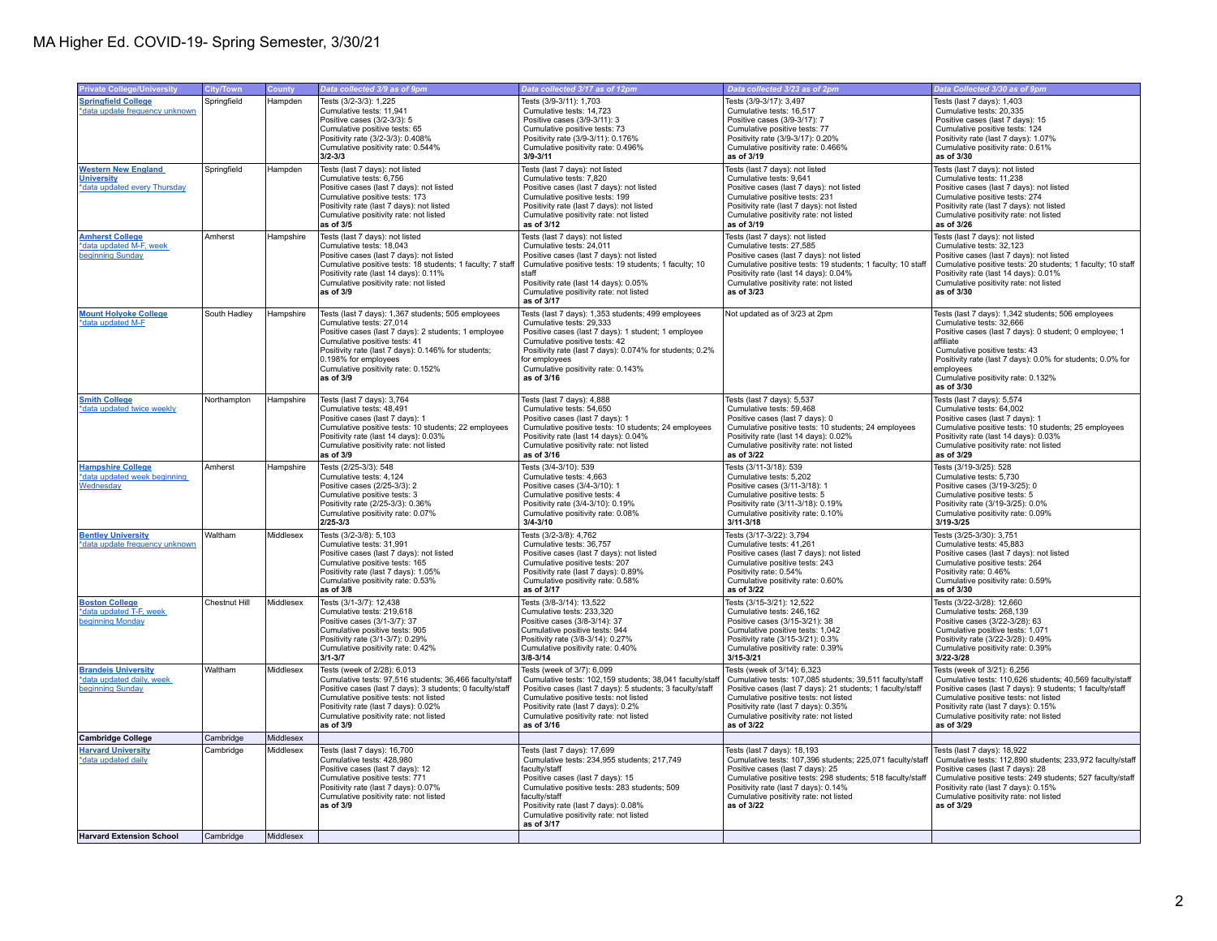| <b>Private College/University</b>                                                   | City/Town              | County                 | Data collected 3/9 as of 9pm                                                                                                                                                                                                                                                                              | Data collected 3/17 as of 12pm                                                                                                                                                                                                                                                                          | Data collected 3/23 as of 2pm                                                                                                                                                                                                                                                                  | Data Collected 3/30 as of 9pm                                                                                                                                                                                                                                                                                         |
|-------------------------------------------------------------------------------------|------------------------|------------------------|-----------------------------------------------------------------------------------------------------------------------------------------------------------------------------------------------------------------------------------------------------------------------------------------------------------|---------------------------------------------------------------------------------------------------------------------------------------------------------------------------------------------------------------------------------------------------------------------------------------------------------|------------------------------------------------------------------------------------------------------------------------------------------------------------------------------------------------------------------------------------------------------------------------------------------------|-----------------------------------------------------------------------------------------------------------------------------------------------------------------------------------------------------------------------------------------------------------------------------------------------------------------------|
| <b>Springfield College</b><br>*data update frequency unknown                        | Springfield            | Hampden                | Tests (3/2-3/3): 1,225<br>Cumulative tests: 11,941<br>Positive cases (3/2-3/3): 5<br>Cumulative positive tests: 65<br>Positivity rate (3/2-3/3): 0.408%<br>Cumulative positivity rate: 0.544%<br>$3/2 - 3/3$                                                                                              | Tests (3/9-3/11): 1,703<br>Cumulative tests: 14,723<br>Positive cases (3/9-3/11): 3<br>Cumulative positive tests: 73<br>Positivity rate (3/9-3/11): 0.176%<br>Cumulative positivity rate: 0.496%<br>$3/9 - 3/11$                                                                                        | Tests (3/9-3/17): 3,497<br>Cumulative tests: 16,517<br>Positive cases (3/9-3/17): 7<br>Cumulative positive tests: 77<br>Positivity rate (3/9-3/17): 0.20%<br>Cumulative positivity rate: 0.466%<br>as of 3/19                                                                                  | Tests (last 7 days): 1,403<br>Cumulative tests: 20,335<br>Positive cases (last 7 days): 15<br>Cumulative positive tests: 124<br>Positivity rate (last 7 days): 1.07%<br>Cumulative positivity rate: 0.61%<br>as of 3/30                                                                                               |
| <b>Western New England</b><br><b>University</b><br>*data updated every Thursday     | Springfield            | Hampden                | Tests (last 7 days): not listed<br>Cumulative tests: 6,756<br>Positive cases (last 7 days): not listed<br>Cumulative positive tests: 173<br>Positivity rate (last 7 days): not listed<br>Cumulative positivity rate: not listed<br>as of 3/5                                                              | Tests (last 7 days): not listed<br>Cumulative tests: 7,820<br>Positive cases (last 7 days): not listed<br>Cumulative positive tests: 199<br>Positivity rate (last 7 days): not listed<br>Cumulative positivity rate: not listed<br>as of 3/12                                                           | Tests (last 7 days): not listed<br>Cumulative tests: 9.641<br>Positive cases (last 7 days): not listed<br>Cumulative positive tests: 231<br>Positivity rate (last 7 days): not listed<br>Cumulative positivity rate: not listed<br>as of 3/19                                                  | Tests (last 7 days): not listed<br>Cumulative tests: 11,238<br>Positive cases (last 7 days): not listed<br>Cumulative positive tests: 274<br>Positivity rate (last 7 days): not listed<br>Cumulative positivity rate: not listed<br>as of 3/26                                                                        |
| <b>Amherst College</b><br>*data updated M-F, week<br>beginning Sunday               | Amherst                | Hampshire              | Tests (last 7 days): not listed<br>Cumulative tests: 18,043<br>Positive cases (last 7 days): not listed<br>Cumulative positive tests: 18 students; 1 faculty; 7 staff<br>Positivity rate (last 14 days): 0.11%<br>Cumulative positivity rate: not listed<br>as of 3/9                                     | Tests (last 7 days): not listed<br>Cumulative tests: 24,011<br>Positive cases (last 7 days); not listed<br>Cumulative positive tests: 19 students; 1 faculty; 10<br>staff<br>Positivity rate (last 14 days): 0.05%<br>Cumulative positivity rate: not listed<br>as of 3/17                              | Tests (last 7 days): not listed<br>Cumulative tests: 27,585<br>Positive cases (last 7 days); not listed<br>Cumulative positive tests: 19 students; 1 faculty; 10 staff<br>Positivity rate (last 14 days): 0.04%<br>Cumulative positivity rate: not listed<br>as of 3/23                        | Tests (last 7 days): not listed<br>Cumulative tests: 32,123<br>Positive cases (last 7 days): not listed<br>Cumulative positive tests: 20 students; 1 faculty; 10 staff<br>Positivity rate (last 14 days): 0.01%<br>Cumulative positivity rate: not listed<br>as of 3/30                                               |
| <b>Mount Holyoke College</b><br>*data updated M-F                                   | South Hadley           | Hampshire              | Tests (last 7 days): 1,367 students; 505 employees<br>Cumulative tests: 27,014<br>Positive cases (last 7 days): 2 students; 1 employee<br>Cumulative positive tests: 41<br>Positivity rate (last 7 days): 0.146% for students;<br>0.198% for employees<br>Cumulative positivity rate: 0.152%<br>as of 3/9 | Tests (last 7 days): 1,353 students; 499 employees<br>Cumulative tests: 29,333<br>Positive cases (last 7 days): 1 student; 1 employee<br>Cumulative positive tests: 42<br>Positivity rate (last 7 days): 0.074% for students; 0.2%<br>for employees<br>Cumulative positivity rate: 0.143%<br>as of 3/16 | Not updated as of 3/23 at 2pm                                                                                                                                                                                                                                                                  | Tests (last 7 days): 1,342 students; 506 employees<br>Cumulative tests: 32,666<br>Positive cases (last 7 days): 0 student; 0 employee; 1<br>affiliate<br>Cumulative positive tests: 43<br>Positivity rate (last 7 days): 0.0% for students; 0.0% for<br>employees<br>Cumulative positivity rate: 0.132%<br>as of 3/30 |
| <b>Smith College</b><br>*data updated twice weekly                                  | Northampton            | Hampshire              | Tests (last 7 days): 3,764<br>Cumulative tests: 48,491<br>Positive cases (last 7 days): 1<br>Cumulative positive tests: 10 students; 22 employees<br>Positivity rate (last 14 days): 0.03%<br>Cumulative positivity rate: not listed<br>as of 3/9                                                         | Tests (last 7 days): 4,888<br>Cumulative tests: 54,650<br>Positive cases (last 7 days): 1<br>Cumulative positive tests: 10 students; 24 employees<br>Positivity rate (last 14 days): 0.04%<br>Cumulative positivity rate: not listed<br>as of 3/16                                                      | Tests (last 7 days): 5,537<br>Cumulative tests: 59,468<br>Positive cases (last 7 days): 0<br>Cumulative positive tests: 10 students; 24 employees<br>Positivity rate (last 14 days): 0.02%<br>Cumulative positivity rate: not listed<br>as of 3/22                                             | Tests (last 7 days): 5,574<br>Cumulative tests: 64,002<br>Positive cases (last 7 days): 1<br>Cumulative positive tests: 10 students; 25 employees<br>Positivity rate (last 14 days): 0.03%<br>Cumulative positivity rate: not listed<br>as of 3/29                                                                    |
| <b>Hampshire College</b><br>*data updated week beginning<br>Wednesday               | Amherst                | Hampshire              | Tests (2/25-3/3): 548<br>Cumulative tests: 4,124<br>Positive cases (2/25-3/3): 2<br>Cumulative positive tests: 3<br>Positivity rate (2/25-3/3): 0.36%<br>Cumulative positivity rate: 0.07%<br>$2/25 - 3/3$                                                                                                | Tests (3/4-3/10): 539<br>Cumulative tests: 4,663<br>Positive cases (3/4-3/10): 1<br>Cumulative positive tests: 4<br>Positivity rate (3/4-3/10): 0.19%<br>Cumulative positivity rate: 0.08%<br>$3/4 - 3/10$                                                                                              | Tests (3/11-3/18): 539<br>Cumulative tests: 5,202<br>Positive cases (3/11-3/18): 1<br>Cumulative positive tests: 5<br>Positivity rate (3/11-3/18): 0.19%<br>Cumulative positivity rate: 0.10%<br>$3/11 - 3/18$                                                                                 | Tests (3/19-3/25): 528<br>Cumulative tests: 5,730<br>Positive cases (3/19-3/25): 0<br>Cumulative positive tests: 5<br>Positivity rate (3/19-3/25): 0.0%<br>Cumulative positivity rate: 0.09%<br>3/19-3/25                                                                                                             |
| <b>Bentley University</b><br>*data update frequency unknown                         | Waltham                | Middlesex              | Tests (3/2-3/8): 5,103<br>Cumulative tests: 31,991<br>Positive cases (last 7 days): not listed<br>Cumulative positive tests: 165<br>Positivity rate (last 7 days): 1.05%<br>Cumulative positivity rate: 0.53%<br>as of 3/8                                                                                | Tests (3/2-3/8): 4,762<br>Cumulative tests: 36,757<br>Positive cases (last 7 days): not listed<br>Cumulative positive tests: 207<br>Positivity rate (last 7 days): 0.89%<br>Cumulative positivity rate: 0.58%<br>as of 3/17                                                                             | Tests (3/17-3/22): 3,794<br>Cumulative tests: 41,261<br>Positive cases (last 7 days): not listed<br>Cumulative positive tests: 243<br>Positivity rate: 0.54%<br>Cumulative positivity rate: 0.60%<br>as of 3/22                                                                                | Tests (3/25-3/30): 3,751<br>Cumulative tests: 45,883<br>Positive cases (last 7 days): not listed<br>Cumulative positive tests: 264<br>Positivity rate: 0.46%<br>Cumulative positivity rate: 0.59%<br>as of 3/30                                                                                                       |
| <b>Boston College</b><br>*data updated T-F, week<br>beginning Monday                | Chestnut Hill          | Middlesex              | Tests (3/1-3/7): 12,438<br>Cumulative tests: 219,618<br>Positive cases (3/1-3/7): 37<br>Cumulative positive tests: 905<br>Positivity rate (3/1-3/7): 0.29%<br>Cumulative positivity rate: 0.42%<br>$3/1 - 3/7$                                                                                            | Tests (3/8-3/14): 13,522<br>Cumulative tests: 233,320<br>Positive cases (3/8-3/14): 37<br>Cumulative positive tests: 944<br>Positivity rate (3/8-3/14): 0.27%<br>Cumulative positivity rate: 0.40%<br>3/8-3/14                                                                                          | Tests (3/15-3/21): 12,522<br>Cumulative tests: 246,162<br>Positive cases (3/15-3/21): 38<br>Cumulative positive tests: 1.042<br>Positivity rate (3/15-3/21): 0.3%<br>Cumulative positivity rate: 0.39%<br>$3/15 - 3/21$                                                                        | Tests (3/22-3/28): 12,660<br>Cumulative tests: 268,139<br>Positive cases (3/22-3/28): 63<br>Cumulative positive tests: 1.071<br>Positivity rate (3/22-3/28): 0.49%<br>Cumulative positivity rate: 0.39%<br>3/22-3/28                                                                                                  |
| <b>Brandels University</b><br>*data updated daily, week<br>beginning Sunday         | Waltham                | Middlesex              | Tests (week of 2/28): 6,013<br>Cumulative tests: 97,516 students; 36,466 faculty/staff<br>Positive cases (last 7 days): 3 students; 0 faculty/staff<br>Cumulative positive tests: not listed<br>Positivity rate (last 7 days): 0.02%<br>Cumulative positivity rate: not listed<br>as of 3/9               | Tests (week of 3/7): 6,099<br>Cumulative tests: 102,159 students; 38,041 faculty/staff<br>Positive cases (last 7 days): 5 students; 3 faculty/staff<br>Cumulative positive tests: not listed<br>Positivity rate (last 7 days): 0.2%<br>Cumulative positivity rate: not listed<br>as of 3/16             | Tests (week of 3/14): 6,323<br>Cumulative tests: 107,085 students; 39,511 faculty/staff<br>Positive cases (last 7 days): 21 students; 1 faculty/staff<br>Cumulative positive tests: not listed<br>Positivity rate (last 7 days): 0.35%<br>Cumulative positivity rate: not listed<br>as of 3/22 | Tests (week of 3/21): 6,256<br>Cumulative tests: 110,626 students; 40,569 faculty/staff<br>Positive cases (last 7 days): 9 students; 1 faculty/staff<br>Cumulative positive tests: not listed<br>Positivity rate (last 7 days): 0.15%<br>Cumulative positivity rate: not listed<br>as of 3/29                         |
| <b>Cambridge College</b>                                                            | Cambridge              | Middlesex              |                                                                                                                                                                                                                                                                                                           |                                                                                                                                                                                                                                                                                                         |                                                                                                                                                                                                                                                                                                |                                                                                                                                                                                                                                                                                                                       |
| <b>Harvard University</b><br>*data updated daily<br><b>Harvard Extension School</b> | Cambridge<br>Cambridge | Middlesex<br>Middlesex | Tests (last 7 days): 16,700<br>Cumulative tests: 428,980<br>Positive cases (last 7 days): 12<br>Cumulative positive tests: 771<br>Positivity rate (last 7 days): 0.07%<br>Cumulative positivity rate: not listed<br>as of 3/9                                                                             | Tests (last 7 days): 17,699<br>Cumulative tests: 234,955 students; 217,749<br>faculty/staff<br>Positive cases (last 7 days): 15<br>Cumulative positive tests: 283 students; 509<br>faculty/staff<br>Positivity rate (last 7 days): 0.08%<br>Cumulative positivity rate: not listed<br>as of 3/17        | Tests (last 7 days): 18,193<br>Cumulative tests: 107,396 students; 225,071 faculty/staff<br>Positive cases (last 7 days): 25<br>Cumulative positive tests: 298 students; 518 faculty/staff<br>Positivity rate (last 7 days): 0.14%<br>Cumulative positivity rate: not listed<br>as of 3/22     | Tests (last 7 days): 18,922<br>Cumulative tests: 112,890 students; 233,972 faculty/staff<br>Positive cases (last 7 days): 28<br>Cumulative positive tests: 249 students; 527 faculty/staff<br>Positivity rate (last 7 days): 0.15%<br>Cumulative positivity rate: not listed<br>as of 3/29                            |
|                                                                                     |                        |                        |                                                                                                                                                                                                                                                                                                           |                                                                                                                                                                                                                                                                                                         |                                                                                                                                                                                                                                                                                                |                                                                                                                                                                                                                                                                                                                       |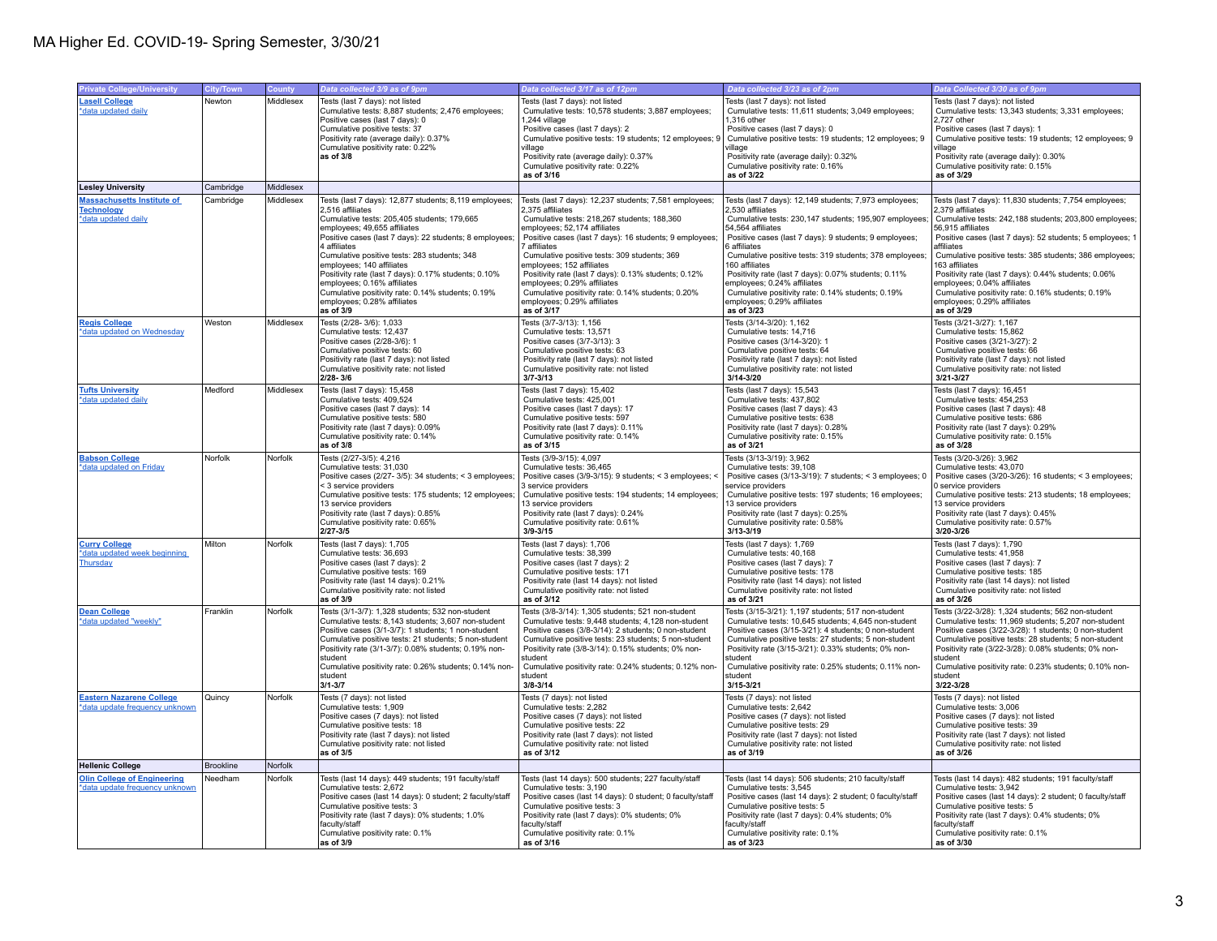| <b>Private College/University</b>                                             | City/Town        | County    | Data collected 3/9 as of 9pm                                                                                                                                                                                                                                                                                                                                                                                                                                                                              | Data collected 3/17 as of 12pm                                                                                                                                                                                                                                                                                                                                                                                                                                                                             | Data collected 3/23 as of 2pm                                                                                                                                                                                                                                                                                                                                                                                                                                                                             | Data Collected 3/30 as of 9pm                                                                                                                                                                                                                                                                                                                                                                                                                                                                              |
|-------------------------------------------------------------------------------|------------------|-----------|-----------------------------------------------------------------------------------------------------------------------------------------------------------------------------------------------------------------------------------------------------------------------------------------------------------------------------------------------------------------------------------------------------------------------------------------------------------------------------------------------------------|------------------------------------------------------------------------------------------------------------------------------------------------------------------------------------------------------------------------------------------------------------------------------------------------------------------------------------------------------------------------------------------------------------------------------------------------------------------------------------------------------------|-----------------------------------------------------------------------------------------------------------------------------------------------------------------------------------------------------------------------------------------------------------------------------------------------------------------------------------------------------------------------------------------------------------------------------------------------------------------------------------------------------------|------------------------------------------------------------------------------------------------------------------------------------------------------------------------------------------------------------------------------------------------------------------------------------------------------------------------------------------------------------------------------------------------------------------------------------------------------------------------------------------------------------|
| <b>Lasell College</b><br>*data updated daily                                  | Newton           | Middlesex | Tests (last 7 days): not listed<br>Cumulative tests: 8,887 students; 2,476 employees;<br>Positive cases (last 7 days): 0<br>Cumulative positive tests: 37<br>Positivity rate (average daily): 0.37%<br>Cumulative positivity rate: 0.22%<br>as of 3/8                                                                                                                                                                                                                                                     | Tests (last 7 days): not listed<br>Cumulative tests: 10,578 students; 3,887 employees;<br>1.244 village<br>Positive cases (last 7 days): 2<br>Cumulative positive tests: 19 students; 12 employees; 9<br>village<br>Positivity rate (average daily): 0.37%<br>Cumulative positivity rate: 0.22%<br>as of 3/16                                                                                                                                                                                              | Tests (last 7 days): not listed<br>Cumulative tests: 11,611 students; 3,049 employees;<br>1.316 other<br>Positive cases (last 7 days): 0<br>Cumulative positive tests: 19 students; 12 employees; 9<br>village<br>Positivity rate (average daily): 0.32%<br>Cumulative positivity rate: 0.16%<br>as of 3/22                                                                                                                                                                                               | Tests (last 7 days): not listed<br>Cumulative tests: 13,343 students; 3,331 employees;<br>2.727 other<br>Positive cases (last 7 days): 1<br>Cumulative positive tests: 19 students; 12 employees; 9<br><i>r</i> illage<br>Positivity rate (average daily): 0.30%<br>Cumulative positivity rate: 0.15%<br>as of 3/29                                                                                                                                                                                        |
| <b>Lesley University</b>                                                      | Cambridge        | Middlesex |                                                                                                                                                                                                                                                                                                                                                                                                                                                                                                           |                                                                                                                                                                                                                                                                                                                                                                                                                                                                                                            |                                                                                                                                                                                                                                                                                                                                                                                                                                                                                                           |                                                                                                                                                                                                                                                                                                                                                                                                                                                                                                            |
| <b>Massachusetts Institute of</b><br><b>Technology</b><br>*data updated daily | Cambridge        | Middlesex | Tests (last 7 days): 12,877 students; 8,119 employees;<br>2,516 affiliates<br>Cumulative tests: 205,405 students; 179,665<br>employees; 49,655 affiliates<br>Positive cases (last 7 days): 22 students; 8 employees;<br>4 affiliates<br>Cumulative positive tests: 283 students; 348<br>employees; 140 affiliates<br>Positivity rate (last 7 days): 0.17% students; 0.10%<br>employees; 0.16% affiliates<br>Cumulative positivity rate: 0.14% students; 0.19%<br>employees; 0.28% affiliates<br>as of 3/9 | Tests (last 7 days): 12,237 students; 7,581 employees;<br>2,375 affiliates<br>Cumulative tests: 218,267 students; 188,360<br>employees; 52,174 affiliates<br>Positive cases (last 7 days): 16 students; 9 employees;<br>7 affiliates<br>Cumulative positive tests: 309 students; 369<br>employees; 152 affiliates<br>Positivity rate (last 7 days): 0.13% students; 0.12%<br>employees; 0.29% affiliates<br>Cumulative positivity rate: 0.14% students; 0.20%<br>employees; 0.29% affiliates<br>as of 3/17 | Tests (last 7 days): 12,149 students; 7,973 employees;<br>2,530 affiliates<br>Cumulative tests: 230,147 students; 195,907 employees:<br>54.564 affiliates<br>Positive cases (last 7 days): 9 students; 9 employees;<br>6 affiliates<br>Cumulative positive tests: 319 students; 378 employees;<br>160 affiliates<br>Positivity rate (last 7 days): 0.07% students; 0.11%<br>employees; 0.24% affiliates<br>Cumulative positivity rate: 0.14% students; 0.19%<br>employees; 0.29% affiliates<br>as of 3/23 | Tests (last 7 days): 11,830 students; 7,754 employees;<br>2,379 affiliates<br>Cumulative tests: 242,188 students; 203,800 employees;<br>56,915 affiliates<br>Positive cases (last 7 days): 52 students; 5 employees; 1<br>affiliates<br>Cumulative positive tests: 385 students; 386 employees;<br>163 affiliates<br>Positivity rate (last 7 days): 0.44% students; 0.06%<br>employees; 0.04% affiliates<br>Cumulative positivity rate: 0.16% students; 0.19%<br>employees; 0.29% affiliates<br>as of 3/29 |
| <b>Regis College</b><br>*data updated on Wednesday                            | Weston           | Middlesex | Tests (2/28-3/6): 1,033<br>Cumulative tests: 12,437<br>Positive cases (2/28-3/6): 1<br>Cumulative positive tests: 60<br>Positivity rate (last 7 days): not listed<br>Cumulative positivity rate: not listed<br>2/28-3/6                                                                                                                                                                                                                                                                                   | Tests (3/7-3/13): 1,156<br>Cumulative tests: 13,571<br>Positive cases (3/7-3/13): 3<br>Cumulative positive tests: 63<br>Positivity rate (last 7 days): not listed<br>Cumulative positivity rate: not listed<br>$3/7 - 3/13$                                                                                                                                                                                                                                                                                | Tests (3/14-3/20): 1,162<br>Cumulative tests: 14,716<br>Positive cases (3/14-3/20): 1<br>Cumulative positive tests: 64<br>Positivity rate (last 7 days): not listed<br>Cumulative positivity rate: not listed<br>3/14-3/20                                                                                                                                                                                                                                                                                | Tests (3/21-3/27): 1,167<br>Cumulative tests: 15,862<br>Positive cases (3/21-3/27): 2<br>Cumulative positive tests: 66<br>Positivity rate (last 7 days): not listed<br>Cumulative positivity rate: not listed<br>3/21-3/27                                                                                                                                                                                                                                                                                 |
| <b>Tufts University</b><br>*data updated daily                                | Medford          | Middlesex | Tests (last 7 days): 15,458<br>Cumulative tests: 409,524<br>Positive cases (last 7 days): 14<br>Cumulative positive tests: 580<br>Positivity rate (last 7 days): 0.09%<br>Cumulative positivity rate: 0.14%<br>as of 3/8                                                                                                                                                                                                                                                                                  | Tests (last 7 days): 15,402<br>Cumulative tests: 425,001<br>Positive cases (last 7 days): 17<br>Cumulative positive tests: 597<br>Positivity rate (last 7 days): 0.11%<br>Cumulative positivity rate: 0.14%<br>as of 3/15                                                                                                                                                                                                                                                                                  | Tests (last 7 days): 15,543<br>Cumulative tests: 437,802<br>Positive cases (last 7 days): 43<br>Cumulative positive tests: 638<br>Positivity rate (last 7 days): 0.28%<br>Cumulative positivity rate: 0.15%<br>as of 3/21                                                                                                                                                                                                                                                                                 | Tests (last 7 days): 16,451<br>Cumulative tests: 454,253<br>Positive cases (last 7 days): 48<br>Cumulative positive tests: 686<br>Positivity rate (last 7 days): 0.29%<br>Cumulative positivity rate: 0.15%<br>as of 3/28                                                                                                                                                                                                                                                                                  |
| <b>Babson College</b><br>*data updated on Friday                              | Norfolk          | Norfolk   | Tests (2/27-3/5): 4,216<br>Cumulative tests: 31,030<br>Positive cases (2/27-3/5): 34 students; < 3 employees;<br>< 3 service providers<br>Cumulative positive tests: 175 students; 12 employees;<br>13 service providers<br>Positivity rate (last 7 days): 0.85%<br>Cumulative positivity rate: 0.65%<br>2/27-3/5                                                                                                                                                                                         | Tests (3/9-3/15): 4.097<br>Cumulative tests: 36,465<br>Positive cases (3/9-3/15): 9 students; < 3 employees; <<br>3 service providers<br>Cumulative positive tests: 194 students; 14 employees;<br>13 service providers<br>Positivity rate (last 7 days): 0.24%<br>Cumulative positivity rate: 0.61%<br>$3/9 - 3/15$                                                                                                                                                                                       | Tests (3/13-3/19): 3.962<br>Cumulative tests: 39,108<br>Positive cases (3/13-3/19): 7 students; < 3 employees; 0<br>service providers<br>Cumulative positive tests: 197 students; 16 employees;<br>13 service providers<br>Positivity rate (last 7 days): 0.25%<br>Cumulative positivity rate: 0.58%<br>3/13-3/19                                                                                                                                                                                         | Tests (3/20-3/26): 3.962<br>Cumulative tests: 43,070<br>Positive cases (3/20-3/26): 16 students; < 3 employees;<br>service providers<br>Cumulative positive tests: 213 students; 18 employees;<br>13 service providers<br>Positivity rate (last 7 days): 0.45%<br>Cumulative positivity rate: 0.57%<br>3/20-3/26                                                                                                                                                                                           |
| <b>Curry College</b><br>*data updated week beginning<br>Thursday              | Milton           | Norfolk   | Tests (last 7 days): 1,705<br>Cumulative tests: 36,693<br>Positive cases (last 7 days): 2<br>Cumulative positive tests: 169<br>Positivity rate (last 14 days): 0.21%<br>Cumulative positivity rate: not listed<br>as of 3/9                                                                                                                                                                                                                                                                               | Tests (last 7 days): 1,706<br>Cumulative tests: 38,399<br>Positive cases (last 7 days): 2<br>Cumulative positive tests: 171<br>Positivity rate (last 14 days): not listed<br>Cumulative positivity rate: not listed<br>as of 3/12                                                                                                                                                                                                                                                                          | Tests (last 7 days): 1,769<br>Cumulative tests: 40,168<br>Positive cases (last 7 days): 7<br>Cumulative positive tests: 178<br>Positivity rate (last 14 days): not listed<br>Cumulative positivity rate: not listed<br>as of 3/21                                                                                                                                                                                                                                                                         | Tests (last 7 days): 1,790<br>Cumulative tests: 41,958<br>Positive cases (last 7 days): 7<br>Cumulative positive tests: 185<br>Positivity rate (last 14 days): not listed<br>Cumulative positivity rate: not listed<br>as of 3/26                                                                                                                                                                                                                                                                          |
| <b>Dean College</b><br>*data updated "weekly"                                 | Franklin         | Norfolk   | Tests (3/1-3/7): 1.328 students: 532 non-student<br>Cumulative tests: 8,143 students; 3,607 non-student<br>Positive cases (3/1-3/7): 1 students; 1 non-student<br>Cumulative positive tests: 21 students; 5 non-student<br>Positivity rate (3/1-3/7): 0.08% students; 0.19% non-<br>student<br>Cumulative positivity rate: 0.26% students; 0.14% non-<br>student<br>$3/1 - 3/7$                                                                                                                           | Tests (3/8-3/14): 1.305 students: 521 non-student<br>Cumulative tests: 9,448 students; 4,128 non-student<br>Positive cases (3/8-3/14): 2 students: 0 non-student<br>Cumulative positive tests: 23 students; 5 non-student<br>Positivity rate (3/8-3/14): 0.15% students; 0% non-<br>student<br>Cumulative positivity rate: 0.24% students; 0.12% non-<br>student<br>$3/8 - 3/14$                                                                                                                           | Tests (3/15-3/21): 1.197 students: 517 non-student<br>Cumulative tests: 10,645 students; 4,645 non-student<br>Positive cases (3/15-3/21): 4 students: 0 non-student<br>Cumulative positive tests: 27 students; 5 non-student<br>Positivity rate (3/15-3/21): 0.33% students; 0% non-<br>student<br>Cumulative positivity rate: 0.25% students; 0.11% non-<br>student<br>$3/15 - 3/21$                                                                                                                     | Tests (3/22-3/28): 1.324 students: 562 non-student<br>Cumulative tests: 11,969 students; 5,207 non-student<br>Positive cases (3/22-3/28): 1 students: 0 non-student<br>Cumulative positive tests: 28 students; 5 non-student<br>Positivity rate (3/22-3/28): 0.08% students; 0% non-<br>student<br>Cumulative positivity rate: 0.23% students; 0.10% non-<br>student<br>3/22-3/28                                                                                                                          |
| <b>Eastern Nazarene College</b><br>*data update frequency unknown             | Quincy           | Norfolk   | Tests (7 days): not listed<br>Cumulative tests: 1.909<br>Positive cases (7 days): not listed<br>Cumulative positive tests: 18<br>Positivity rate (last 7 days): not listed<br>Cumulative positivity rate: not listed<br>as of 3/5                                                                                                                                                                                                                                                                         | Tests (7 days): not listed<br>Cumulative tests: 2.282<br>Positive cases (7 days): not listed<br>Cumulative positive tests: 22<br>Positivity rate (last 7 days): not listed<br>Cumulative positivity rate: not listed<br>as of 3/12                                                                                                                                                                                                                                                                         | Tests (7 days): not listed<br>Cumulative tests: 2.642<br>Positive cases (7 days): not listed<br>Cumulative positive tests: 29<br>Positivity rate (last 7 days): not listed<br>Cumulative positivity rate: not listed<br>as of 3/19                                                                                                                                                                                                                                                                        | Tests (7 days): not listed<br>Cumulative tests: 3.006<br>Positive cases (7 days): not listed<br>Cumulative positive tests: 39<br>Positivity rate (last 7 days): not listed<br>Cumulative positivity rate: not listed<br>as of 3/26                                                                                                                                                                                                                                                                         |
| <b>Hellenic College</b>                                                       | <b>Brookline</b> | Norfolk   |                                                                                                                                                                                                                                                                                                                                                                                                                                                                                                           |                                                                                                                                                                                                                                                                                                                                                                                                                                                                                                            |                                                                                                                                                                                                                                                                                                                                                                                                                                                                                                           |                                                                                                                                                                                                                                                                                                                                                                                                                                                                                                            |
| <b>Olin College of Engineering</b><br>*data update frequency unknown          | Needham          | Norfolk   | Tests (last 14 days): 449 students; 191 faculty/staff<br>Cumulative tests: 2,672<br>Positive cases (last 14 days): 0 student: 2 faculty/staff<br>Cumulative positive tests: 3<br>Positivity rate (last 7 days): 0% students; 1.0%<br>faculty/staff<br>Cumulative positivity rate: 0.1%<br>as of 3/9                                                                                                                                                                                                       | Tests (last 14 days): 500 students; 227 faculty/staff<br>Cumulative tests: 3,190<br>Positive cases (last 14 days): 0 student: 0 faculty/staff<br>Cumulative positive tests: 3<br>Positivity rate (last 7 days): 0% students; 0%<br>faculty/staff<br>Cumulative positivity rate: 0.1%<br>as of 3/16                                                                                                                                                                                                         | Tests (last 14 days): 506 students; 210 faculty/staff<br>Cumulative tests: 3,545<br>Positive cases (last 14 days): 2 student; 0 faculty/staff<br>Cumulative positive tests: 5<br>Positivity rate (last 7 days): 0.4% students; 0%<br>faculty/staff<br>Cumulative positivity rate: 0.1%<br>as of 3/23                                                                                                                                                                                                      | Tests (last 14 days): 482 students; 191 faculty/staff<br>Cumulative tests: 3,942<br>Positive cases (last 14 days): 2 student; 0 faculty/staff<br>Cumulative positive tests: 5<br>Positivity rate (last 7 days): 0.4% students; 0%<br>faculty/staff<br>Cumulative positivity rate: 0.1%<br>as of 3/30                                                                                                                                                                                                       |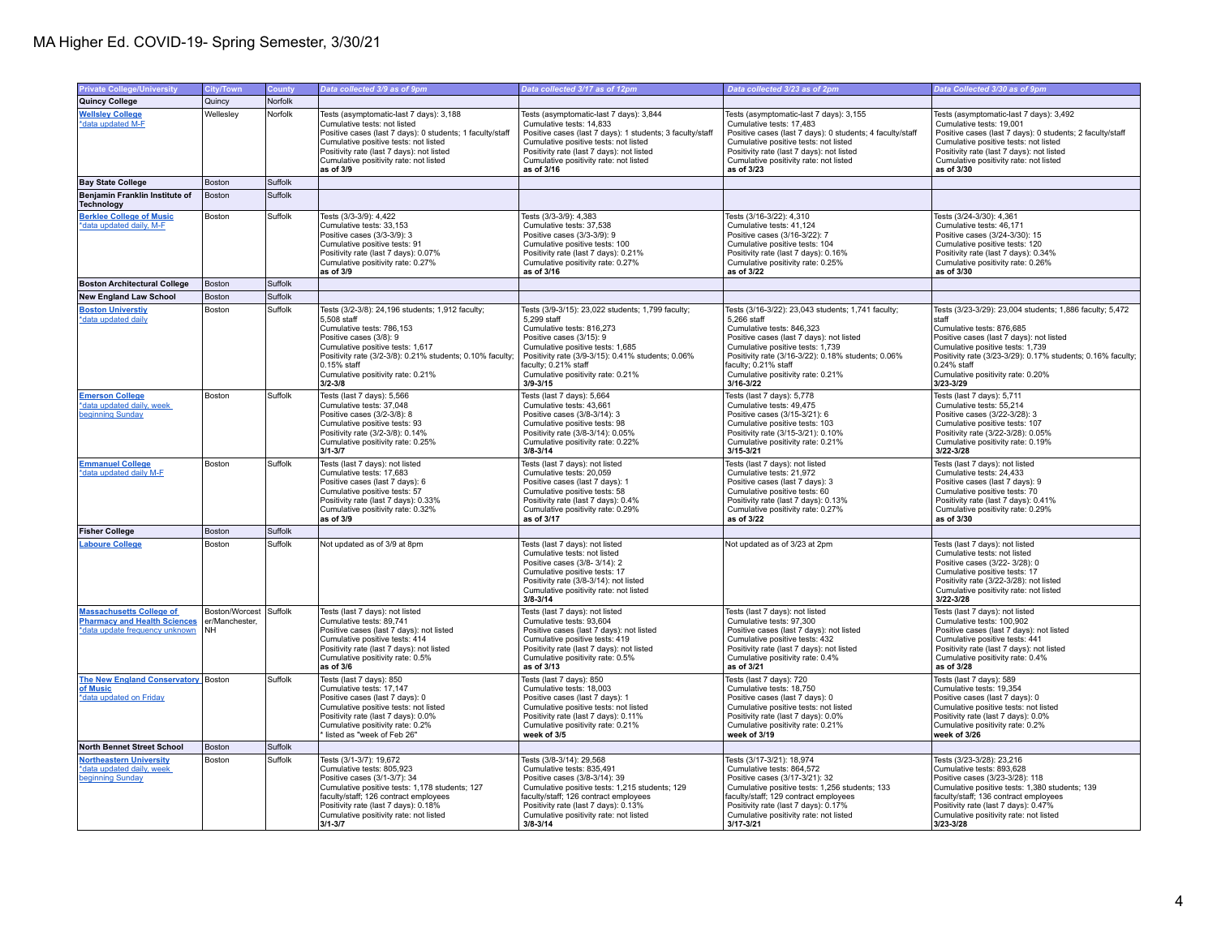## MA Higher Ed. COVID-19- Spring Semester, 3/30/21

| <b>Private College/University</b>                                                                        | <b>City/Town</b>                                      | <b>County</b> | Data collected 3/9 as of 9pm                                                                                                                                                                                                                                                                  | Data collected 3/17 as of 12pm                                                                                                                                                                                                                                                                  | Data collected 3/23 as of 2pm                                                                                                                                                                                                                                                                                      | Data Collected 3/30 as of 9pm                                                                                                                                                                                                                                                                                  |
|----------------------------------------------------------------------------------------------------------|-------------------------------------------------------|---------------|-----------------------------------------------------------------------------------------------------------------------------------------------------------------------------------------------------------------------------------------------------------------------------------------------|-------------------------------------------------------------------------------------------------------------------------------------------------------------------------------------------------------------------------------------------------------------------------------------------------|--------------------------------------------------------------------------------------------------------------------------------------------------------------------------------------------------------------------------------------------------------------------------------------------------------------------|----------------------------------------------------------------------------------------------------------------------------------------------------------------------------------------------------------------------------------------------------------------------------------------------------------------|
| Quincy College                                                                                           | Quincy                                                | Norfolk       |                                                                                                                                                                                                                                                                                               |                                                                                                                                                                                                                                                                                                 |                                                                                                                                                                                                                                                                                                                    |                                                                                                                                                                                                                                                                                                                |
| <b>Wellsley College</b><br>*data updated M-F                                                             | Wellesley                                             | Norfolk       | Tests (asymptomatic-last 7 days): 3,188<br>Cumulative tests: not listed<br>Positive cases (last 7 days): 0 students; 1 faculty/staff<br>Cumulative positive tests: not listed<br>Positivity rate (last 7 days): not listed<br>Cumulative positivity rate: not listed<br>as of 3/9             | Tests (asymptomatic-last 7 days): 3,844<br>Cumulative tests: 14,833<br>Positive cases (last 7 days): 1 students; 3 faculty/staff<br>Cumulative positive tests: not listed<br>Positivity rate (last 7 days): not listed<br>Cumulative positivity rate: not listed<br>as of 3/16                  | Tests (asymptomatic-last 7 days): 3,155<br>Cumulative tests: 17,483<br>Positive cases (last 7 days): 0 students; 4 faculty/staff<br>Cumulative positive tests: not listed<br>Positivity rate (last 7 days): not listed<br>Cumulative positivity rate: not listed<br>as of 3/23                                     | Tests (asymptomatic-last 7 days): 3,492<br>Cumulative tests: 19,001<br>Positive cases (last 7 days): 0 students; 2 faculty/staff<br>Cumulative positive tests: not listed<br>Positivity rate (last 7 days): not listed<br>Cumulative positivity rate: not listed<br>as of 3/30                                 |
| <b>Bay State College</b>                                                                                 | Boston                                                | Suffolk       |                                                                                                                                                                                                                                                                                               |                                                                                                                                                                                                                                                                                                 |                                                                                                                                                                                                                                                                                                                    |                                                                                                                                                                                                                                                                                                                |
| Benjamin Franklin Institute of<br>Technology                                                             | Boston                                                | Suffolk       |                                                                                                                                                                                                                                                                                               |                                                                                                                                                                                                                                                                                                 |                                                                                                                                                                                                                                                                                                                    |                                                                                                                                                                                                                                                                                                                |
| <b>Berklee College of Music</b><br>*data updated daily, M-F                                              | Boston                                                | Suffolk       | Tests (3/3-3/9): 4,422<br>Cumulative tests: 33,153<br>Positive cases (3/3-3/9): 3<br>Cumulative positive tests: 91<br>Positivity rate (last 7 days): 0.07%<br>Cumulative positivity rate: 0.27%<br>as of 3/9                                                                                  | Tests (3/3-3/9): 4,383<br>Cumulative tests: 37,538<br>Positive cases (3/3-3/9): 9<br>Cumulative positive tests: 100<br>Positivity rate (last 7 days): 0.21%<br>Cumulative positivity rate: 0.27%<br>as of 3/16                                                                                  | Tests (3/16-3/22): 4,310<br>Cumulative tests: 41,124<br>Positive cases (3/16-3/22): 7<br>Cumulative positive tests: 104<br>Positivity rate (last 7 days): 0.16%<br>Cumulative positivity rate: 0.25%<br>as of 3/22                                                                                                 | Tests (3/24-3/30): 4,361<br>Cumulative tests: 46,171<br>Positive cases (3/24-3/30): 15<br>Cumulative positive tests: 120<br>Positivity rate (last 7 days): 0.34%<br>Cumulative positivity rate: 0.26%<br>as of 3/30                                                                                            |
| <b>Boston Architectural College</b>                                                                      | <b>Boston</b>                                         | Suffolk       |                                                                                                                                                                                                                                                                                               |                                                                                                                                                                                                                                                                                                 |                                                                                                                                                                                                                                                                                                                    |                                                                                                                                                                                                                                                                                                                |
| <b>New England Law School</b>                                                                            | Boston                                                | Suffolk       |                                                                                                                                                                                                                                                                                               |                                                                                                                                                                                                                                                                                                 |                                                                                                                                                                                                                                                                                                                    |                                                                                                                                                                                                                                                                                                                |
| <b>Boston Universtiy</b><br>data updated daily                                                           | Boston                                                | Suffolk       | Tests (3/2-3/8): 24.196 students: 1.912 faculty:<br>5,508 staff<br>Cumulative tests: 786.153<br>Positive cases (3/8): 9<br>Cumulative positive tests: 1,617<br>Positivity rate (3/2-3/8): 0.21% students; 0.10% faculty;<br>$0.15%$ staff<br>Cumulative positivity rate: 0.21%<br>$3/2 - 3/8$ | Tests (3/9-3/15): 23,022 students; 1,799 faculty;<br>5,299 staff<br>Cumulative tests: 816.273<br>Positive cases (3/15): 9<br>Cumulative positive tests: 1,685<br>Positivity rate (3/9-3/15): 0.41% students; 0.06%<br>faculty: 0.21% staff<br>Cumulative positivity rate: 0.21%<br>$3/9 - 3/15$ | Tests (3/16-3/22): 23.043 students: 1.741 faculty:<br>5,266 staff<br>Cumulative tests: 846.323<br>Positive cases (last 7 days); not listed<br>Cumulative positive tests: 1,739<br>Positivity rate (3/16-3/22): 0.18% students; 0.06%<br>faculty: 0.21% staff<br>Cumulative positivity rate: 0.21%<br>$3/16 - 3/22$ | Tests (3/23-3/29): 23,004 students; 1,886 faculty; 5,472<br>staff<br>Cumulative tests: 876.685<br>Positive cases (last 7 days); not listed<br>Cumulative positive tests: 1,739<br>Positivity rate (3/23-3/29): 0.17% students; 0.16% faculty;<br>0.24% staff<br>Cumulative positivity rate: 0.20%<br>3/23-3/29 |
| <b>Emerson College</b><br>*data updated daily, week<br>beginning Sunday                                  | Boston                                                | Suffolk       | Tests (last 7 days): 5,566<br>Cumulative tests: 37,048<br>Positive cases (3/2-3/8): 8<br>Cumulative positive tests: 93<br>Positivity rate (3/2-3/8): 0.14%<br>Cumulative positivity rate: 0.25%<br>$3/1 - 3/7$                                                                                | Tests (last 7 days): 5,664<br>Cumulative tests: 43,661<br>Positive cases (3/8-3/14): 3<br>Cumulative positive tests: 98<br>Positivity rate (3/8-3/14): 0.05%<br>Cumulative positivity rate: 0.22%<br>$3/8 - 3/14$                                                                               | Tests (last 7 days): 5,778<br>Cumulative tests: 49,475<br>Positive cases (3/15-3/21): 6<br>Cumulative positive tests: 103<br>Positivity rate (3/15-3/21): 0.10%<br>Cumulative positivity rate: 0.21%<br>$3/15 - 3/21$                                                                                              | Tests (last 7 days): 5,711<br>Cumulative tests: 55,214<br>Positive cases (3/22-3/28): 3<br>Cumulative positive tests: 107<br>Positivity rate (3/22-3/28): 0.05%<br>Cumulative positivity rate: 0.19%<br>3/22-3/28                                                                                              |
| <b>Emmanuel College</b><br>*data updated daily M-F                                                       | Boston                                                | Suffolk       | Tests (last 7 days): not listed<br>Cumulative tests: 17,683<br>Positive cases (last 7 days): 6<br>Cumulative positive tests: 57<br>Positivity rate (last 7 days): 0.33%<br>Cumulative positivity rate: 0.32%<br>as of 3/9                                                                     | Tests (last 7 days): not listed<br>Cumulative tests: 20,059<br>Positive cases (last 7 days): 1<br>Cumulative positive tests: 58<br>Positivity rate (last 7 days): 0.4%<br>Cumulative positivity rate: 0.29%<br>as of 3/17                                                                       | Tests (last 7 days): not listed<br>Cumulative tests: 21,972<br>Positive cases (last 7 days): 3<br>Cumulative positive tests: 60<br>Positivity rate (last 7 days): 0.13%<br>Cumulative positivity rate: 0.27%<br>as of 3/22                                                                                         | Tests (last 7 days): not listed<br>Cumulative tests: 24,433<br>Positive cases (last 7 days): 9<br>Cumulative positive tests: 70<br>Positivity rate (last 7 days): 0.41%<br>Cumulative positivity rate: 0.29%<br>as of 3/30                                                                                     |
| <b>Fisher College</b>                                                                                    | Boston                                                | Suffolk       |                                                                                                                                                                                                                                                                                               |                                                                                                                                                                                                                                                                                                 |                                                                                                                                                                                                                                                                                                                    |                                                                                                                                                                                                                                                                                                                |
| <b>Laboure College</b>                                                                                   | Boston                                                | Suffolk       | Not updated as of 3/9 at 8pm                                                                                                                                                                                                                                                                  | Tests (last 7 days): not listed<br>Cumulative tests: not listed<br>Positive cases (3/8-3/14): 2<br>Cumulative positive tests: 17<br>Positivity rate (3/8-3/14): not listed<br>Cumulative positivity rate: not listed<br>$3/8 - 3/14$                                                            | Not updated as of 3/23 at 2pm                                                                                                                                                                                                                                                                                      | Tests (last 7 days): not listed<br>Cumulative tests: not listed<br>Positive cases (3/22-3/28): 0<br>Cumulative positive tests: 17<br>Positivity rate (3/22-3/28): not listed<br>Cumulative positivity rate: not listed<br>3/22-3/28                                                                            |
| <b>Massachusetts College of</b><br><b>Pharmacy and Health Sciences</b><br>*data update frequency unknown | Boston/Worcest Suffolk<br>er/Manchester.<br><b>NH</b> |               | Tests (last 7 days); not listed<br>Cumulative tests: 89,741<br>Positive cases (last 7 days): not listed<br>Cumulative positive tests: 414<br>Positivity rate (last 7 days): not listed<br>Cumulative positivity rate: 0.5%<br>as of 3/6                                                       | Tests (last 7 days): not listed<br>Cumulative tests: 93,604<br>Positive cases (last 7 days): not listed<br>Cumulative positive tests: 419<br>Positivity rate (last 7 days): not listed<br>Cumulative positivity rate: 0.5%<br>as of 3/13                                                        | Tests (last 7 days); not listed<br>Cumulative tests: 97,300<br>Positive cases (last 7 days): not listed<br>Cumulative positive tests: 432<br>Positivity rate (last 7 days): not listed<br>Cumulative positivity rate: 0.4%<br>as of 3/21                                                                           | Tests (last 7 days): not listed<br>Cumulative tests: 100,902<br>Positive cases (last 7 days): not listed<br>Cumulative positive tests: 441<br>Positivity rate (last 7 days): not listed<br>Cumulative positivity rate: 0.4%<br>as of 3/28                                                                      |
| The New England Conservatory Boston<br>of Music<br>*data updated on Friday                               |                                                       | Suffolk       | Tests (last 7 days): 850<br>Cumulative tests: 17,147<br>Positive cases (last 7 days): 0<br>Cumulative positive tests: not listed<br>Positivity rate (last 7 days): 0.0%<br>Cumulative positivity rate: 0.2%<br>listed as "week of Feb 26"                                                     | Tests (last 7 days): 850<br>Cumulative tests: 18,003<br>Positive cases (last 7 days): 1<br>Cumulative positive tests: not listed<br>Positivity rate (last 7 days): 0.11%<br>Cumulative positivity rate: 0.21%<br>week of 3/5                                                                    | Tests (last 7 days): 720<br>Cumulative tests: 18,750<br>Positive cases (last 7 days): 0<br>Cumulative positive tests: not listed<br>Positivity rate (last 7 days): 0.0%<br>Cumulative positivity rate: 0.21%<br>week of 3/19                                                                                       | Tests (last 7 days): 589<br>Cumulative tests: 19,354<br>Positive cases (last 7 days): 0<br>Cumulative positive tests: not listed<br>Positivity rate (last 7 days): 0.0%<br>Cumulative positivity rate: 0.2%<br>week of 3/26                                                                                    |
| North Bennet Street School                                                                               | Boston                                                | Suffolk       |                                                                                                                                                                                                                                                                                               |                                                                                                                                                                                                                                                                                                 |                                                                                                                                                                                                                                                                                                                    |                                                                                                                                                                                                                                                                                                                |
| <b>Northeastern University</b><br>*data updated daily, week<br>beginning Sunday                          | Boston                                                | Suffolk       | Tests (3/1-3/7): 19,672<br>Cumulative tests: 805,923<br>Positive cases (3/1-3/7): 34<br>Cumulative positive tests: 1,178 students; 127<br>faculty/staff; 126 contract employees<br>Positivity rate (last 7 days): 0.18%<br>Cumulative positivity rate: not listed<br>$3/1 - 3/7$              | Tests (3/8-3/14): 29,568<br>Cumulative tests: 835,491<br>Positive cases (3/8-3/14): 39<br>Cumulative positive tests: 1,215 students; 129<br>faculty/staff; 126 contract employees<br>Positivity rate (last 7 days): 0.13%<br>Cumulative positivity rate: not listed<br>$3/8 - 3/14$             | Tests (3/17-3/21): 18,974<br>Cumulative tests: 864,572<br>Positive cases (3/17-3/21): 32<br>Cumulative positive tests: 1,256 students; 133<br>faculty/staff; 129 contract employees<br>Positivity rate (last 7 days): 0.17%<br>Cumulative positivity rate: not listed<br>$3/17 - 3/21$                             | Tests (3/23-3/28): 23,216<br>Cumulative tests: 893,628<br>Positive cases (3/23-3/28): 118<br>Cumulative positive tests: 1,380 students; 139<br>faculty/staff; 136 contract employees<br>Positivity rate (last 7 days): 0.47%<br>Cumulative positivity rate: not listed<br>3/23-3/28                            |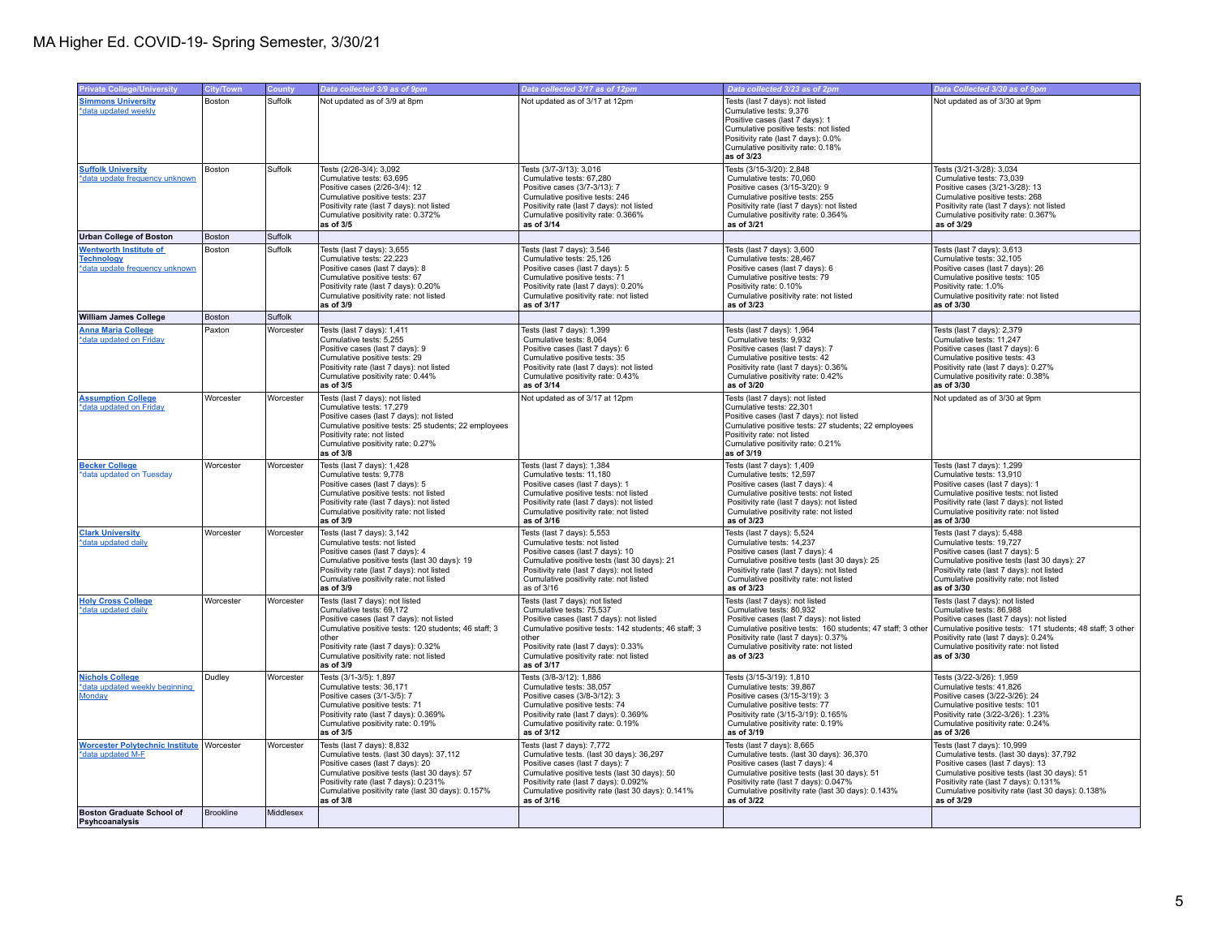| <b>Private College/University</b>                                                    | City/Town        | <b>County</b> | Data collected 3/9 as of 9pm                                                                                                                                                                                                                                            | Data collected 3/17 as of 12pm                                                                                                                                                                                                                                           | Data collected 3/23 as of 2pm                                                                                                                                                                                                                                         | Data Collected 3/30 as of 9pm                                                                                                                                                                                                                                           |
|--------------------------------------------------------------------------------------|------------------|---------------|-------------------------------------------------------------------------------------------------------------------------------------------------------------------------------------------------------------------------------------------------------------------------|--------------------------------------------------------------------------------------------------------------------------------------------------------------------------------------------------------------------------------------------------------------------------|-----------------------------------------------------------------------------------------------------------------------------------------------------------------------------------------------------------------------------------------------------------------------|-------------------------------------------------------------------------------------------------------------------------------------------------------------------------------------------------------------------------------------------------------------------------|
| <b>Simmons University</b><br>*data updated weekly                                    | Boston           | Suffolk       | Not updated as of 3/9 at 8pm                                                                                                                                                                                                                                            | Not updated as of 3/17 at 12pm                                                                                                                                                                                                                                           | Tests (last 7 days): not listed<br>Cumulative tests: 9,376<br>Positive cases (last 7 days): 1<br>Cumulative positive tests: not listed<br>Positivity rate (last 7 days): 0.0%<br>Cumulative positivity rate: 0.18%<br>as of 3/23                                      | Not updated as of 3/30 at 9pm                                                                                                                                                                                                                                           |
| <b>Suffolk University</b><br>*data update frequency unknown                          | Boston           | Suffolk       | Tests (2/26-3/4): 3,092<br>Cumulative tests: 63,695<br>Positive cases (2/26-3/4): 12<br>Cumulative positive tests: 237<br>Positivity rate (last 7 days): not listed<br>Cumulative positivity rate: 0.372%<br>as of 3/5                                                  | Tests (3/7-3/13): 3,016<br>Cumulative tests: 67,280<br>Positive cases (3/7-3/13): 7<br>Cumulative positive tests: 246<br>Positivity rate (last 7 days): not listed<br>Cumulative positivity rate: 0.366%<br>as of 3/14                                                   | Tests (3/15-3/20): 2,848<br>Cumulative tests: 70,060<br>Positive cases (3/15-3/20): 9<br>Cumulative positive tests: 255<br>Positivity rate (last 7 days): not listed<br>Cumulative positivity rate: 0.364%<br>as of 3/21                                              | Tests (3/21-3/28): 3,034<br>Cumulative tests: 73,039<br>Positive cases (3/21-3/28): 13<br>Cumulative positive tests: 268<br>Positivity rate (last 7 days): not listed<br>Cumulative positivity rate: 0.367%<br>as of 3/29                                               |
| <b>Urban College of Boston</b>                                                       | Boston           | Suffolk       |                                                                                                                                                                                                                                                                         |                                                                                                                                                                                                                                                                          |                                                                                                                                                                                                                                                                       |                                                                                                                                                                                                                                                                         |
| <b>Wentworth Institute of</b><br><b>Technology</b><br>*data update frequency unknown | Boston           | Suffolk       | Tests (last 7 days): 3,655<br>Cumulative tests: 22,223<br>Positive cases (last 7 days): 8<br>Cumulative positive tests: 67<br>Positivity rate (last 7 days): 0.20%<br>Cumulative positivity rate: not listed<br>as of 3/9                                               | Tests (last 7 days): 3,546<br>Cumulative tests: 25.126<br>Positive cases (last 7 days): 5<br>Cumulative positive tests: 71<br>Positivity rate (last 7 days): 0.20%<br>Cumulative positivity rate: not listed<br>as of 3/17                                               | Tests (last 7 days): 3,600<br>Cumulative tests: 28.467<br>Positive cases (last 7 days): 6<br>Cumulative positive tests: 79<br>Positivity rate: 0.10%<br>Cumulative positivity rate: not listed<br>as of 3/23                                                          | Tests (last 7 days): 3,613<br>Cumulative tests: 32.105<br>Positive cases (last 7 days): 26<br>Cumulative positive tests: 105<br>Positivity rate: 1.0%<br>Cumulative positivity rate: not listed<br>as of 3/30                                                           |
| <b>William James College</b>                                                         | Boston           | Suffolk       |                                                                                                                                                                                                                                                                         |                                                                                                                                                                                                                                                                          |                                                                                                                                                                                                                                                                       |                                                                                                                                                                                                                                                                         |
| <b>Anna Maria College</b><br>*data updated on Friday                                 | Paxton           | Worcester     | Tests (last 7 days): 1,411<br>Cumulative tests: 5.255<br>Positive cases (last 7 days): 9<br>Cumulative positive tests: 29<br>Positivity rate (last 7 days); not listed<br>Cumulative positivity rate: 0.44%<br>as of 3/5                                                | Tests (last 7 days): 1,399<br>Cumulative tests: 8.064<br>Positive cases (last 7 days): 6<br>Cumulative positive tests: 35<br>Positivity rate (last 7 days): not listed<br>Cumulative positivity rate: 0.43%<br>as of 3/14                                                | Tests (last 7 days): 1,964<br>Cumulative tests: 9.932<br>Positive cases (last 7 days): 7<br>Cumulative positive tests: 42<br>Positivity rate (last 7 days): 0.36%<br>Cumulative positivity rate: 0.42%<br>as of 3/20                                                  | Tests (last 7 days): 2,379<br>Cumulative tests: 11.247<br>Positive cases (last 7 days): 6<br>Cumulative positive tests: 43<br>Positivity rate (last 7 days): 0.27%<br>Cumulative positivity rate: 0.38%<br>as of 3/30                                                   |
| <b>Assumption College</b><br>*data updated on Friday                                 | Worcester        | Worcester     | Tests (last 7 days): not listed<br>Cumulative tests: 17.279<br>Positive cases (last 7 days): not listed<br>Cumulative positive tests: 25 students; 22 employees<br>Positivity rate: not listed<br>Cumulative positivity rate: 0.27%<br>as of 3/8                        | Not updated as of 3/17 at 12pm                                                                                                                                                                                                                                           | Tests (last 7 days): not listed<br>Cumulative tests: 22,301<br>Positive cases (last 7 days): not listed<br>Cumulative positive tests: 27 students; 22 employees<br>Positivity rate: not listed<br>Cumulative positivity rate: 0.21%<br>as of 3/19                     | Not updated as of 3/30 at 9pm                                                                                                                                                                                                                                           |
| <b>Becker College</b><br>*data updated on Tuesday                                    | Worcester        | Worcester     | Tests (last 7 days): 1,428<br>Cumulative tests: 9.778<br>Positive cases (last 7 days): 5<br>Cumulative positive tests: not listed<br>Positivity rate (last 7 days): not listed<br>Cumulative positivity rate: not listed<br>as of 3/9                                   | Tests (last 7 days): 1,384<br>Cumulative tests: 11.180<br>Positive cases (last 7 days): 1<br>Cumulative positive tests: not listed<br>Positivity rate (last 7 days): not listed<br>Cumulative positivity rate: not listed<br>as of 3/16                                  | Tests (last 7 days): 1,409<br>Cumulative tests: 12.597<br>Positive cases (last 7 days): 4<br>Cumulative positive tests: not listed<br>Positivity rate (last 7 days): not listed<br>Cumulative positivity rate: not listed<br>as of 3/23                               | Tests (last 7 days): 1,299<br>Cumulative tests: 13.910<br>Positive cases (last 7 days): 1<br>Cumulative positive tests: not listed<br>Positivity rate (last 7 days): not listed<br>Cumulative positivity rate: not listed<br>as of 3/30                                 |
| <b>Clark University</b><br>*data updated daily                                       | Worcester        | Worcester     | Tests (last 7 days): 3,142<br>Cumulative tests: not listed<br>Positive cases (last 7 days): 4<br>Cumulative positive tests (last 30 days): 19<br>Positivity rate (last 7 days): not listed<br>Cumulative positivity rate: not listed<br>as of 3/9                       | Tests (last 7 days): 5,553<br>Cumulative tests: not listed<br>Positive cases (last 7 days): 10<br>Cumulative positive tests (last 30 days): 21<br>Positivity rate (last 7 days): not listed<br>Cumulative positivity rate: not listed<br>as of 3/16                      | Tests (last 7 days): 5,524<br>Cumulative tests: 14,237<br>Positive cases (last 7 days): 4<br>Cumulative positive tests (last 30 days): 25<br>Positivity rate (last 7 days): not listed<br>Cumulative positivity rate: not listed<br>as of 3/23                        | Tests (last 7 days): 5,488<br>Cumulative tests: 19,727<br>Positive cases (last 7 days): 5<br>Cumulative positive tests (last 30 days): 27<br>Positivity rate (last 7 days): not listed<br>Cumulative positivity rate: not listed<br>as of 3/30                          |
| <b>Holy Cross College</b><br>*data updated daily                                     | Worcester        | Worcester     | Tests (last 7 days): not listed<br>Cumulative tests: 69.172<br>Positive cases (last 7 days): not listed<br>Cumulative positive tests: 120 students; 46 staff; 3<br>other<br>Positivity rate (last 7 days): 0.32%<br>Cumulative positivity rate: not listed<br>as of 3/9 | Tests (last 7 days): not listed<br>Cumulative tests: 75.537<br>Positive cases (last 7 days): not listed<br>Cumulative positive tests: 142 students; 46 staff; 3<br>other<br>Positivity rate (last 7 days): 0.33%<br>Cumulative positivity rate: not listed<br>as of 3/17 | Tests (last 7 days): not listed<br>Cumulative tests: 80.932<br>Positive cases (last 7 days): not listed<br>Cumulative positive tests: 160 students; 47 staff; 3 other<br>Positivity rate (last 7 days): 0.37%<br>Cumulative positivity rate: not listed<br>as of 3/23 | Tests (last 7 days): not listed<br>Cumulative tests: 86.988<br>Positive cases (last 7 days): not listed<br>Cumulative positive tests: 171 students; 48 staff; 3 other<br>Positivity rate (last 7 days): 0.24%<br>Cumulative positivity rate: not listed<br>as of 3/30   |
| <b>Nichols College</b><br>*data updated weekly beginning<br>Monday                   | Dudley           | Worcester     | Tests (3/1-3/5): 1,897<br>Cumulative tests: 36,171<br>Positive cases (3/1-3/5): 7<br>Cumulative positive tests: 71<br>Positivity rate (last 7 days): 0.369%<br>Cumulative positivity rate: 0.19%<br>as of 3/5                                                           | Tests (3/8-3/12): 1,886<br>Cumulative tests: 38,057<br>Positive cases (3/8-3/12): 3<br>Cumulative positive tests: 74<br>Positivity rate (last 7 days): 0.369%<br>Cumulative positivity rate: 0.19%<br>as of 3/12                                                         | Tests (3/15-3/19): 1,810<br>Cumulative tests: 39,867<br>Positive cases (3/15-3/19): 3<br>Cumulative positive tests: 77<br>Positivity rate (3/15-3/19): 0.165%<br>Cumulative positivity rate: 0.19%<br>as of 3/19                                                      | Tests (3/22-3/26): 1,959<br>Cumulative tests: 41,826<br>Positive cases (3/22-3/26): 24<br>Cumulative positive tests: 101<br>Positivity rate (3/22-3/26): 1.23%<br>Cumulative positivity rate: 0.24%<br>as of 3/26                                                       |
| <b>Worcester Polytechnic Institute Worcester</b><br>*data updated M-F                |                  | Worcester     | Tests (last 7 days): 8,832<br>Cumulative tests. (last 30 days): 37,112<br>Positive cases (last 7 days): 20<br>Cumulative positive tests (last 30 days): 57<br>Positivity rate (last 7 days): 0.231%<br>Cumulative positivity rate (last 30 days): 0.157%<br>as of 3/8   | Tests (last 7 days): 7,772<br>Cumulative tests. (last 30 days): 36,297<br>Positive cases (last 7 days): 7<br>Cumulative positive tests (last 30 days): 50<br>Positivity rate (last 7 days): 0.092%<br>Cumulative positivity rate (last 30 days): 0.141%<br>as of 3/16    | Tests (last 7 days): 8,665<br>Cumulative tests. (last 30 days): 36,370<br>Positive cases (last 7 days): 4<br>Cumulative positive tests (last 30 days): 51<br>Positivity rate (last 7 days): 0.047%<br>Cumulative positivity rate (last 30 days): 0.143%<br>as of 3/22 | Tests (last 7 days): 10,999<br>Cumulative tests. (last 30 days): 37,792<br>Positive cases (last 7 days): 13<br>Cumulative positive tests (last 30 days): 51<br>Positivity rate (last 7 days): 0.131%<br>Cumulative positivity rate (last 30 days): 0.138%<br>as of 3/29 |
| <b>Boston Graduate School of</b><br>Psyhcoanalysis                                   | <b>Brookline</b> | Middlesex     |                                                                                                                                                                                                                                                                         |                                                                                                                                                                                                                                                                          |                                                                                                                                                                                                                                                                       |                                                                                                                                                                                                                                                                         |